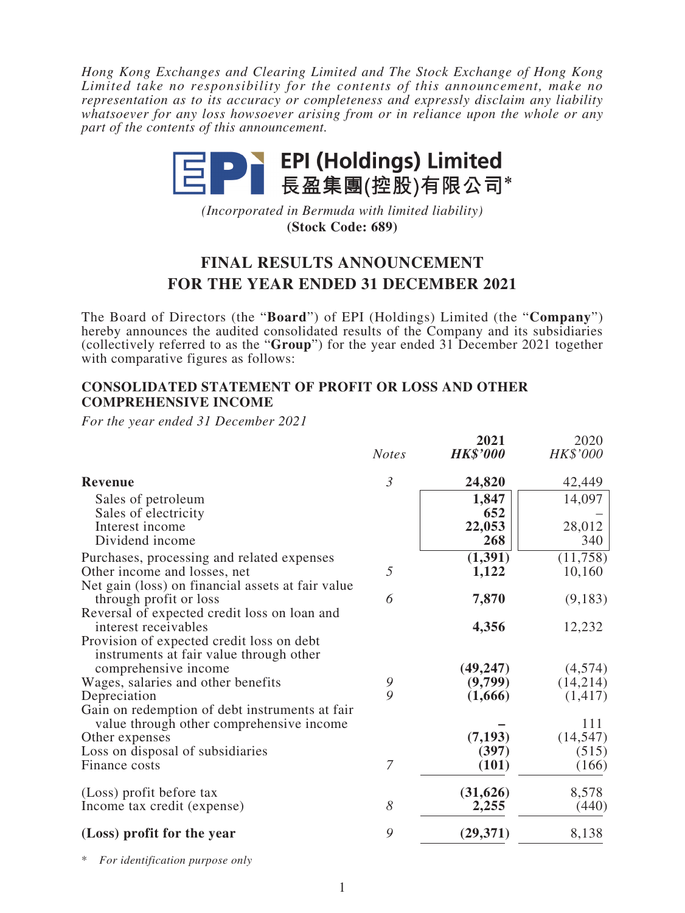*Hong Kong Exchanges and Clearing Limited and The Stock Exchange of Hong Kong Limited take no responsibility for the contents of this announcement, make no representation as to its accuracy or completeness and expressly disclaim any liability whatsoever for any loss howsoever arising from or in reliance upon the whole or any part of the contents of this announcement.*



*(Incorporated in Bermuda with limited liability)* **(Stock Code: 689)**

# **FINAL RESULTS ANNOUNCEMENT FOR THE YEAR ENDED 31 DECEMBER 2021**

The Board of Directors (the "**Board**") of EPI (Holdings) Limited (the "**Company**") hereby announces the audited consolidated results of the Company and its subsidiaries (collectively referred to as the "**Group**") for the year ended 31 December 2021 together with comparative figures as follows:

### **CONSOLIDATED STATEMENT OF PROFIT OR LOSS AND OTHER COMPREHENSIVE INCOME**

*For the year ended 31 December 2021*

|                                                   |                | 2021            | 2020      |
|---------------------------------------------------|----------------|-----------------|-----------|
|                                                   | <b>Notes</b>   | <b>HK\$'000</b> | HK\$'000  |
| <b>Revenue</b>                                    | $\mathfrak{Z}$ | 24,820          | 42,449    |
| Sales of petroleum                                |                | 1,847           | 14,097    |
| Sales of electricity                              |                | 652             |           |
| Interest income                                   |                | 22,053          | 28,012    |
| Dividend income                                   |                | 268             | 340       |
| Purchases, processing and related expenses        |                | (1, 391)        | (11,758)  |
| Other income and losses, net                      | 5              | 1,122           | 10,160    |
| Net gain (loss) on financial assets at fair value |                |                 |           |
| through profit or loss                            | 6              | 7,870           | (9,183)   |
| Reversal of expected credit loss on loan and      |                |                 |           |
| interest receivables                              |                | 4,356           | 12,232    |
| Provision of expected credit loss on debt         |                |                 |           |
| instruments at fair value through other           |                |                 |           |
| comprehensive income                              |                | (49, 247)       | (4,574)   |
| Wages, salaries and other benefits                | 9              | (9,799)         | (14,214)  |
| Depreciation                                      | 9              | (1,666)         | (1, 417)  |
| Gain on redemption of debt instruments at fair    |                |                 |           |
| value through other comprehensive income          |                |                 | 111       |
| Other expenses                                    |                | (7, 193)        | (14, 547) |
| Loss on disposal of subsidiaries                  |                | (397)           | (515)     |
| Finance costs                                     | 7              | (101)           | (166)     |
| (Loss) profit before tax                          |                | (31, 626)       | 8,578     |
| Income tax credit (expense)                       | 8              | 2,255           | (440)     |
| (Loss) profit for the year                        | 9              | (29, 371)       | 8,138     |

\* *For identification purpose only*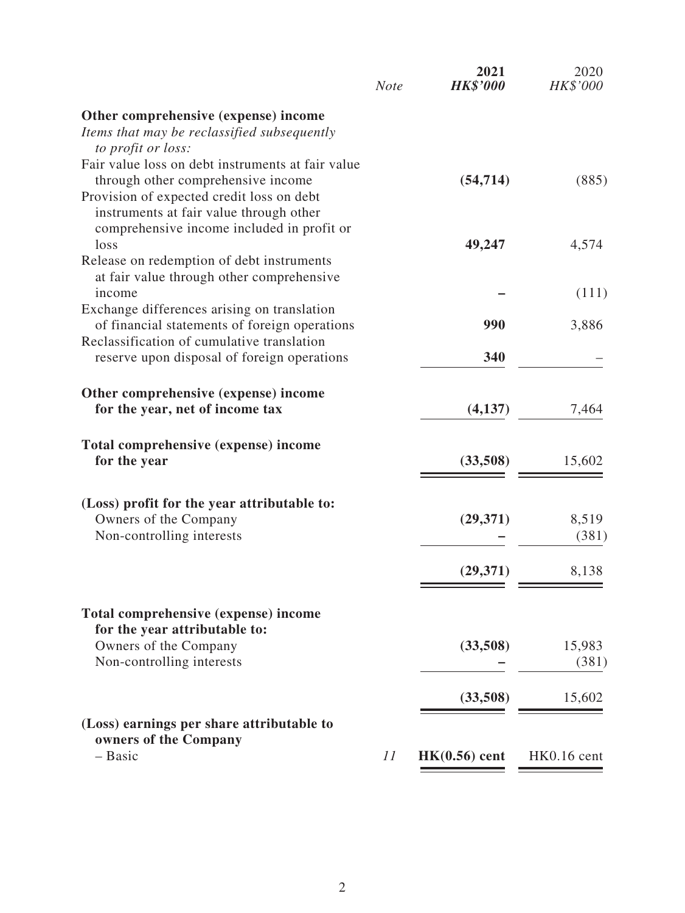|                                                                                              | <b>Note</b> | 2021<br><b>HK\$'000</b> | 2020<br>HK\$'000 |
|----------------------------------------------------------------------------------------------|-------------|-------------------------|------------------|
| Other comprehensive (expense) income                                                         |             |                         |                  |
| Items that may be reclassified subsequently                                                  |             |                         |                  |
| to profit or loss:                                                                           |             |                         |                  |
| Fair value loss on debt instruments at fair value                                            |             | (54, 714)               |                  |
| through other comprehensive income<br>Provision of expected credit loss on debt              |             |                         | (885)            |
| instruments at fair value through other                                                      |             |                         |                  |
| comprehensive income included in profit or                                                   |             |                         |                  |
| loss                                                                                         |             | 49,247                  | 4,574            |
| Release on redemption of debt instruments                                                    |             |                         |                  |
| at fair value through other comprehensive                                                    |             |                         |                  |
| income                                                                                       |             |                         | (111)            |
| Exchange differences arising on translation<br>of financial statements of foreign operations |             | 990                     | 3,886            |
| Reclassification of cumulative translation                                                   |             |                         |                  |
| reserve upon disposal of foreign operations                                                  |             | 340                     |                  |
|                                                                                              |             |                         |                  |
| Other comprehensive (expense) income                                                         |             |                         |                  |
| for the year, net of income tax                                                              |             | (4,137)                 | 7,464            |
|                                                                                              |             |                         |                  |
| Total comprehensive (expense) income<br>for the year                                         |             | (33,508)                | 15,602           |
|                                                                                              |             |                         |                  |
| (Loss) profit for the year attributable to:                                                  |             |                         |                  |
| Owners of the Company                                                                        |             | (29, 371)               | 8,519            |
| Non-controlling interests                                                                    |             |                         | (381)            |
|                                                                                              |             |                         |                  |
|                                                                                              |             | (29, 371)               | 8,138            |
|                                                                                              |             |                         |                  |
| Total comprehensive (expense) income                                                         |             |                         |                  |
| for the year attributable to:                                                                |             |                         |                  |
| Owners of the Company                                                                        |             | (33,508)                | 15,983           |
| Non-controlling interests                                                                    |             |                         | (381)            |
|                                                                                              |             | (33,508)                | 15,602           |
| (Loss) earnings per share attributable to                                                    |             |                         |                  |
| owners of the Company                                                                        |             |                         |                  |
| - Basic                                                                                      | 11          | $HK(0.56)$ cent         | HK0.16 cent      |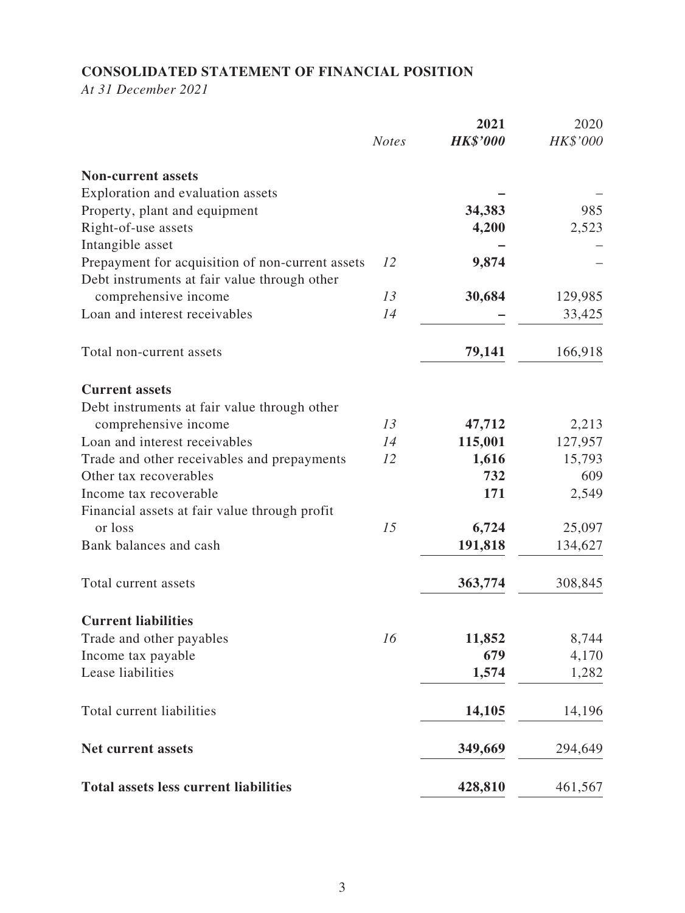# **CONSOLIDATED STATEMENT OF FINANCIAL POSITION**

*At 31 December 2021*

|                                                  | <b>Notes</b> | 2021<br><b>HK\$'000</b> | 2020<br>HK\$'000 |
|--------------------------------------------------|--------------|-------------------------|------------------|
| <b>Non-current assets</b>                        |              |                         |                  |
| Exploration and evaluation assets                |              |                         |                  |
| Property, plant and equipment                    |              | 34,383                  | 985              |
| Right-of-use assets                              |              | 4,200                   | 2,523            |
| Intangible asset                                 |              |                         |                  |
| Prepayment for acquisition of non-current assets | 12           | 9,874                   |                  |
| Debt instruments at fair value through other     |              |                         |                  |
| comprehensive income                             | 13           | 30,684                  | 129,985          |
| Loan and interest receivables                    | 14           |                         | 33,425           |
|                                                  |              |                         |                  |
| Total non-current assets                         |              | 79,141                  | 166,918          |
| <b>Current assets</b>                            |              |                         |                  |
| Debt instruments at fair value through other     |              |                         |                  |
| comprehensive income                             | 13           | 47,712                  | 2,213            |
| Loan and interest receivables                    | 14           | 115,001                 | 127,957          |
| Trade and other receivables and prepayments      | 12           | 1,616                   | 15,793           |
| Other tax recoverables                           |              | 732                     | 609              |
| Income tax recoverable                           |              | 171                     | 2,549            |
| Financial assets at fair value through profit    |              |                         |                  |
| or loss                                          | 15           | 6,724                   | 25,097           |
| Bank balances and cash                           |              | 191,818                 | 134,627          |
| Total current assets                             |              | 363,774                 | 308,845          |
| <b>Current liabilities</b>                       |              |                         |                  |
| Trade and other payables                         | 16           | 11,852                  | 8,744            |
| Income tax payable                               |              | 679                     | 4,170            |
| Lease liabilities                                |              | 1,574                   | 1,282            |
| Total current liabilities                        |              | 14,105                  | 14,196           |
| <b>Net current assets</b>                        |              | 349,669                 | 294,649          |
| <b>Total assets less current liabilities</b>     |              | 428,810                 | 461,567          |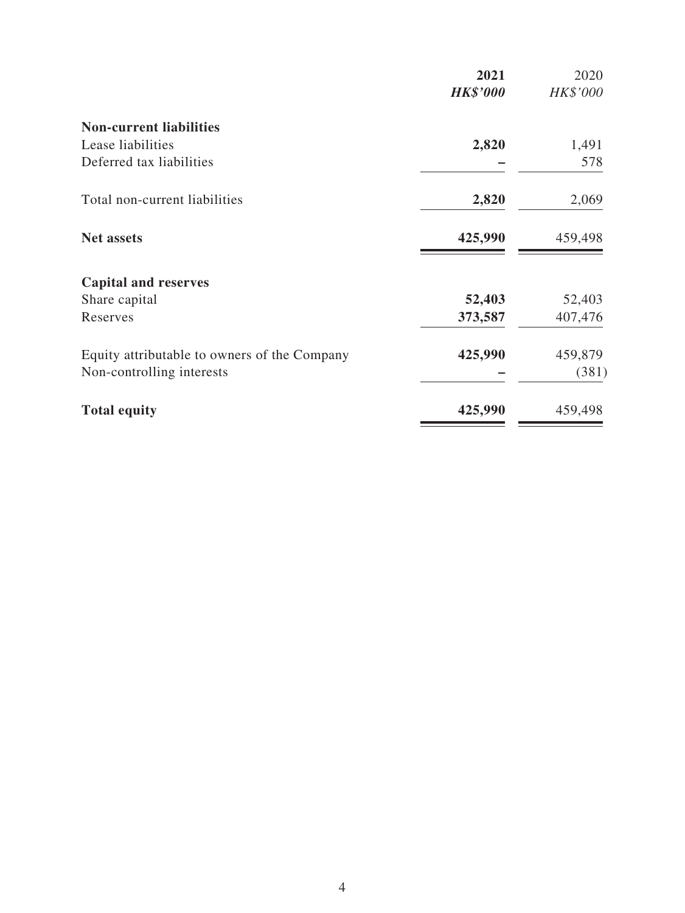|                                              | 2021            | 2020     |
|----------------------------------------------|-----------------|----------|
|                                              | <b>HK\$'000</b> | HK\$'000 |
| <b>Non-current liabilities</b>               |                 |          |
| Lease liabilities                            | 2,820           | 1,491    |
| Deferred tax liabilities                     |                 | 578      |
| Total non-current liabilities                | 2,820           | 2,069    |
| <b>Net assets</b>                            | 425,990         | 459,498  |
| <b>Capital and reserves</b>                  |                 |          |
| Share capital                                | 52,403          | 52,403   |
| Reserves                                     | 373,587         | 407,476  |
| Equity attributable to owners of the Company | 425,990         | 459,879  |
| Non-controlling interests                    |                 | (381)    |
| <b>Total equity</b>                          | 425,990         | 459,498  |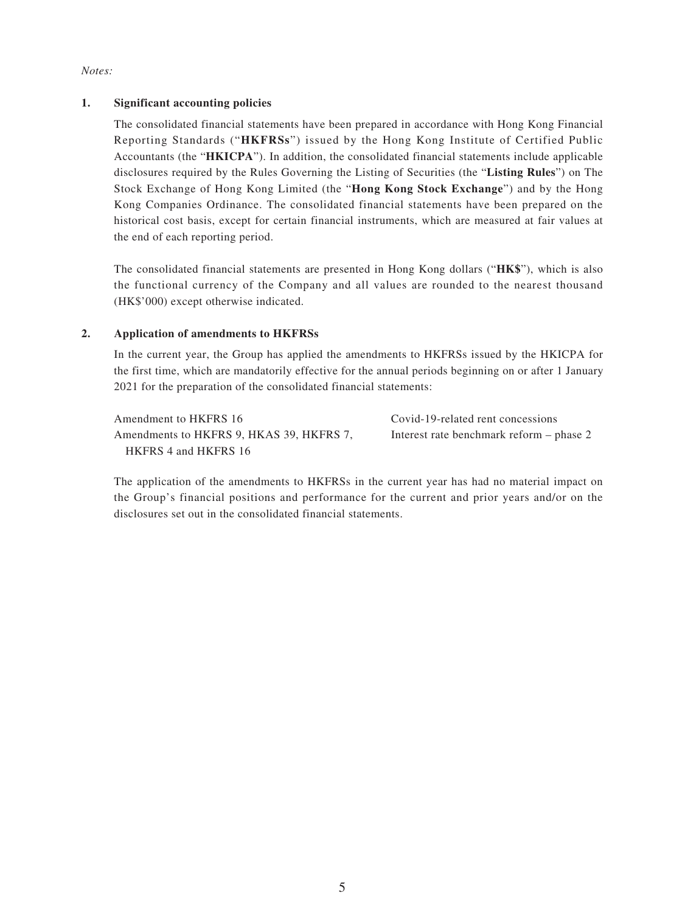#### *Notes:*

### **1. Significant accounting policies**

The consolidated financial statements have been prepared in accordance with Hong Kong Financial Reporting Standards ("**HKFRSs**") issued by the Hong Kong Institute of Certified Public Accountants (the "**HKICPA**"). In addition, the consolidated financial statements include applicable disclosures required by the Rules Governing the Listing of Securities (the "**Listing Rules**") on The Stock Exchange of Hong Kong Limited (the "**Hong Kong Stock Exchange**") and by the Hong Kong Companies Ordinance. The consolidated financial statements have been prepared on the historical cost basis, except for certain financial instruments, which are measured at fair values at the end of each reporting period.

The consolidated financial statements are presented in Hong Kong dollars ("**HK\$**"), which is also the functional currency of the Company and all values are rounded to the nearest thousand (HK\$'000) except otherwise indicated.

### **2. Application of amendments to HKFRSs**

In the current year, the Group has applied the amendments to HKFRSs issued by the HKICPA for the first time, which are mandatorily effective for the annual periods beginning on or after 1 January 2021 for the preparation of the consolidated financial statements:

Amendment to HKFRS 16 Covid-19-related rent concessions Amendments to HKFRS 9, HKAS 39, HKFRS 7, HKFRS 4 and HKFRS 16

Interest rate benchmark reform – phase 2

The application of the amendments to HKFRSs in the current year has had no material impact on the Group's financial positions and performance for the current and prior years and/or on the disclosures set out in the consolidated financial statements.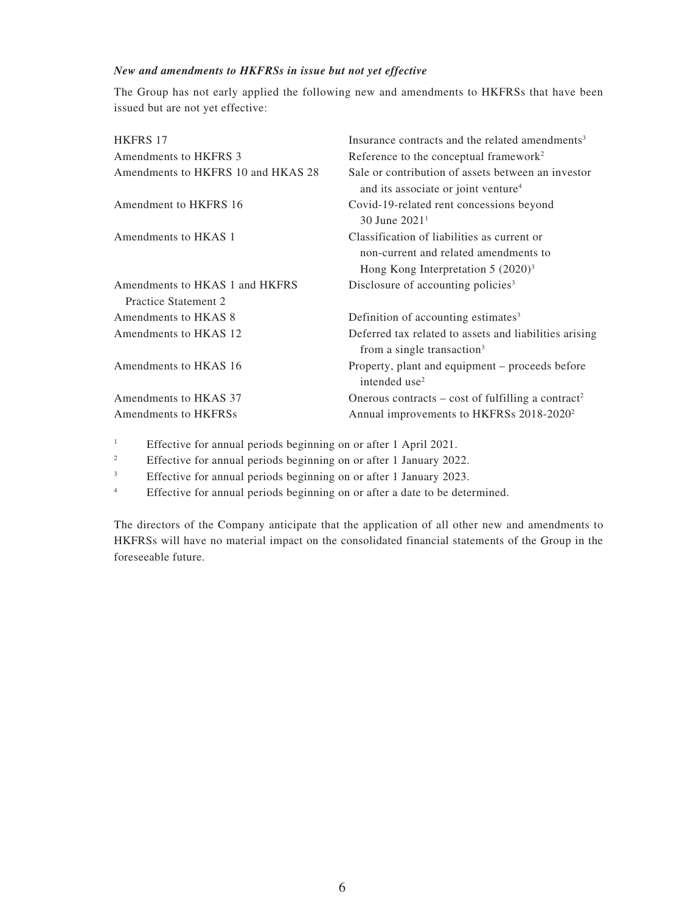### *New and amendments to HKFRSs in issue but not yet effective*

The Group has not early applied the following new and amendments to HKFRSs that have been issued but are not yet effective:

| <b>HKFRS 17</b>                                        | Insurance contracts and the related amendments <sup>3</sup>                                                                   |
|--------------------------------------------------------|-------------------------------------------------------------------------------------------------------------------------------|
| <b>Amendments to HKFRS 3</b>                           | Reference to the conceptual framework <sup>2</sup>                                                                            |
| Amendments to HKFRS 10 and HKAS 28                     | Sale or contribution of assets between an investor<br>and its associate or joint venture <sup>4</sup>                         |
| Amendment to HKFRS 16                                  | Covid-19-related rent concessions beyond<br>30 June $20211$                                                                   |
| Amendments to HKAS 1                                   | Classification of liabilities as current or<br>non-current and related amendments to<br>Hong Kong Interpretation $5 (2020)^3$ |
| Amendments to HKAS 1 and HKFRS<br>Practice Statement 2 | Disclosure of accounting policies <sup>3</sup>                                                                                |
| Amendments to HKAS 8                                   | Definition of accounting estimates <sup>3</sup>                                                                               |
| Amendments to HKAS 12                                  | Deferred tax related to assets and liabilities arising<br>from a single transaction <sup>3</sup>                              |
| Amendments to HKAS 16                                  | Property, plant and equipment – proceeds before<br>intended use <sup>2</sup>                                                  |
| Amendments to HKAS 37                                  | Onerous contracts – cost of fulfilling a contract <sup>2</sup>                                                                |
| Amendments to HKFRSs                                   | Annual improvements to HKFRSs 2018-2020 <sup>2</sup>                                                                          |

<sup>1</sup> Effective for annual periods beginning on or after 1 April 2021.

<sup>2</sup> Effective for annual periods beginning on or after 1 January 2022.

<sup>3</sup> Effective for annual periods beginning on or after 1 January 2023.

<sup>4</sup> Effective for annual periods beginning on or after a date to be determined.

The directors of the Company anticipate that the application of all other new and amendments to HKFRSs will have no material impact on the consolidated financial statements of the Group in the foreseeable future.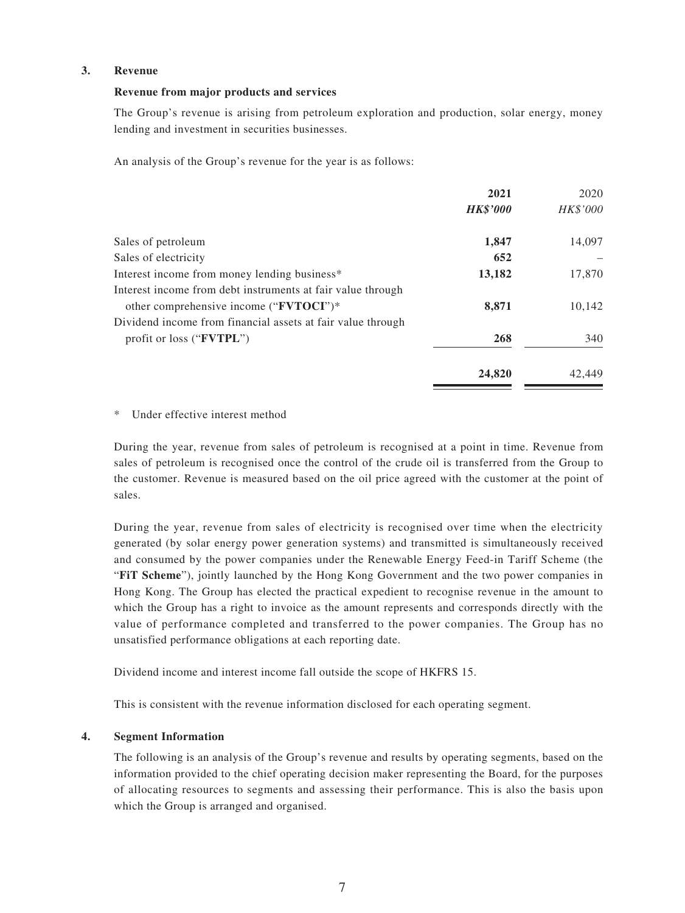#### **3. Revenue**

#### **Revenue from major products and services**

The Group's revenue is arising from petroleum exploration and production, solar energy, money lending and investment in securities businesses.

An analysis of the Group's revenue for the year is as follows:

|                                                             | 2021            | 2020     |
|-------------------------------------------------------------|-----------------|----------|
|                                                             | <b>HK\$'000</b> | HK\$'000 |
| Sales of petroleum                                          | 1,847           | 14,097   |
| Sales of electricity                                        | 652             |          |
| Interest income from money lending business <sup>*</sup>    | 13,182          | 17,870   |
| Interest income from debt instruments at fair value through |                 |          |
| other comprehensive income ("FVTOCI")*                      | 8,871           | 10,142   |
| Dividend income from financial assets at fair value through |                 |          |
| profit or loss (" <b>FVTPL</b> ")                           | 268             | 340      |
|                                                             | 24,820          | 42,449   |

Under effective interest method

During the year, revenue from sales of petroleum is recognised at a point in time. Revenue from sales of petroleum is recognised once the control of the crude oil is transferred from the Group to the customer. Revenue is measured based on the oil price agreed with the customer at the point of sales.

During the year, revenue from sales of electricity is recognised over time when the electricity generated (by solar energy power generation systems) and transmitted is simultaneously received and consumed by the power companies under the Renewable Energy Feed-in Tariff Scheme (the "**FiT Scheme**"), jointly launched by the Hong Kong Government and the two power companies in Hong Kong. The Group has elected the practical expedient to recognise revenue in the amount to which the Group has a right to invoice as the amount represents and corresponds directly with the value of performance completed and transferred to the power companies. The Group has no unsatisfied performance obligations at each reporting date.

Dividend income and interest income fall outside the scope of HKFRS 15.

This is consistent with the revenue information disclosed for each operating segment.

#### **4. Segment Information**

The following is an analysis of the Group's revenue and results by operating segments, based on the information provided to the chief operating decision maker representing the Board, for the purposes of allocating resources to segments and assessing their performance. This is also the basis upon which the Group is arranged and organised.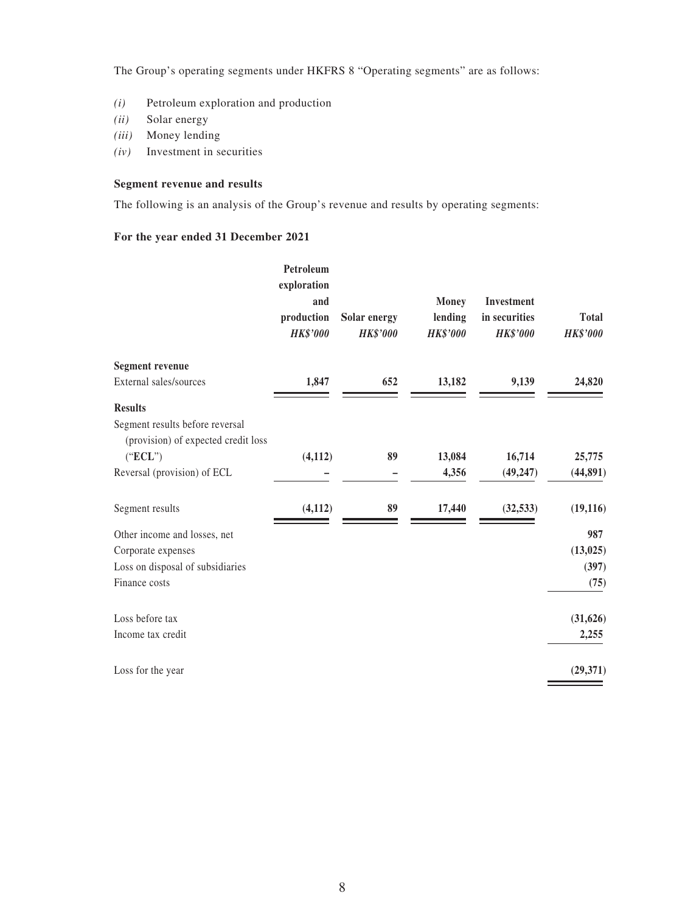The Group's operating segments under HKFRS 8 "Operating segments" are as follows:

- *(i)* Petroleum exploration and production
- *(ii)* Solar energy
- *(iii)* Money lending
- *(iv)* Investment in securities

### **Segment revenue and results**

The following is an analysis of the Group's revenue and results by operating segments:

### **For the year ended 31 December 2021**

|                                                                        | Petroleum<br>exploration<br>and<br>production<br><b>HK\$'000</b> | Solar energy<br><b>HK\$'000</b> | <b>Money</b><br>lending<br><b>HK\$'000</b> | Investment<br>in securities<br><b>HK\$'000</b> | <b>Total</b><br><b>HK\$'000</b> |
|------------------------------------------------------------------------|------------------------------------------------------------------|---------------------------------|--------------------------------------------|------------------------------------------------|---------------------------------|
| <b>Segment revenue</b>                                                 |                                                                  |                                 |                                            |                                                |                                 |
| External sales/sources                                                 | 1,847                                                            | 652                             | 13,182                                     | 9,139                                          | 24,820                          |
| <b>Results</b>                                                         |                                                                  |                                 |                                            |                                                |                                 |
| Segment results before reversal<br>(provision) of expected credit loss |                                                                  |                                 |                                            |                                                |                                 |
| ("ECL")                                                                | (4, 112)                                                         | 89                              | 13,084                                     | 16,714                                         | 25,775                          |
| Reversal (provision) of ECL                                            |                                                                  |                                 | 4,356                                      | (49, 247)                                      | (44,891)                        |
| Segment results                                                        | (4, 112)                                                         | 89                              | 17,440                                     | (32, 533)                                      | (19, 116)                       |
| Other income and losses, net                                           |                                                                  |                                 |                                            |                                                | 987                             |
| Corporate expenses                                                     |                                                                  |                                 |                                            |                                                | (13, 025)                       |
| Loss on disposal of subsidiaries                                       |                                                                  |                                 |                                            |                                                | (397)                           |
| Finance costs                                                          |                                                                  |                                 |                                            |                                                | (75)                            |
| Loss before tax                                                        |                                                                  |                                 |                                            |                                                | (31, 626)                       |
| Income tax credit                                                      |                                                                  |                                 |                                            |                                                | 2,255                           |
| Loss for the year                                                      |                                                                  |                                 |                                            |                                                | (29,371)                        |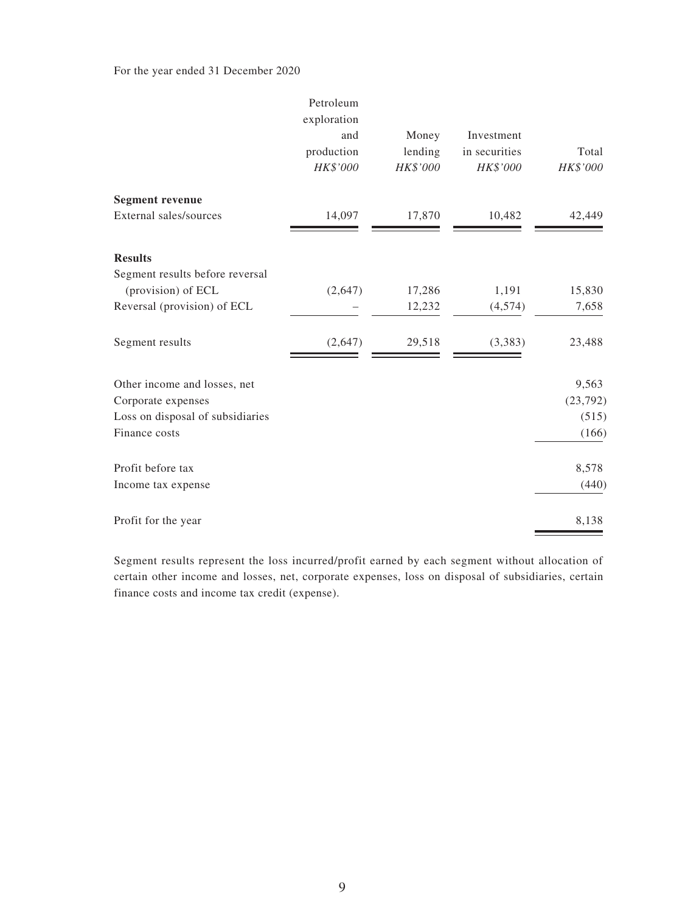### For the year ended 31 December 2020

|                                  | Petroleum<br>exploration<br>and<br>production<br>HK\$'000 | Money<br>lending<br>HK\$'000 | Investment<br>in securities<br>HK\$'000 | Total<br>HK\$'000 |
|----------------------------------|-----------------------------------------------------------|------------------------------|-----------------------------------------|-------------------|
| <b>Segment revenue</b>           |                                                           |                              |                                         |                   |
| External sales/sources           | 14,097                                                    | 17,870                       | 10,482                                  | 42,449            |
| <b>Results</b>                   |                                                           |                              |                                         |                   |
| Segment results before reversal  |                                                           |                              |                                         |                   |
| (provision) of ECL               | (2,647)                                                   | 17,286                       | 1,191                                   | 15,830            |
| Reversal (provision) of ECL      |                                                           | 12,232                       | (4,574)                                 | 7,658             |
| Segment results                  | (2,647)                                                   | 29,518                       | (3,383)                                 | 23,488            |
| Other income and losses, net     |                                                           |                              |                                         | 9,563             |
| Corporate expenses               |                                                           |                              |                                         | (23, 792)         |
| Loss on disposal of subsidiaries |                                                           |                              |                                         | (515)             |
| Finance costs                    |                                                           |                              |                                         | (166)             |
| Profit before tax                |                                                           |                              |                                         | 8,578             |
| Income tax expense               |                                                           |                              |                                         | (440)             |
| Profit for the year              |                                                           |                              |                                         | 8,138             |

Segment results represent the loss incurred/profit earned by each segment without allocation of certain other income and losses, net, corporate expenses, loss on disposal of subsidiaries, certain finance costs and income tax credit (expense).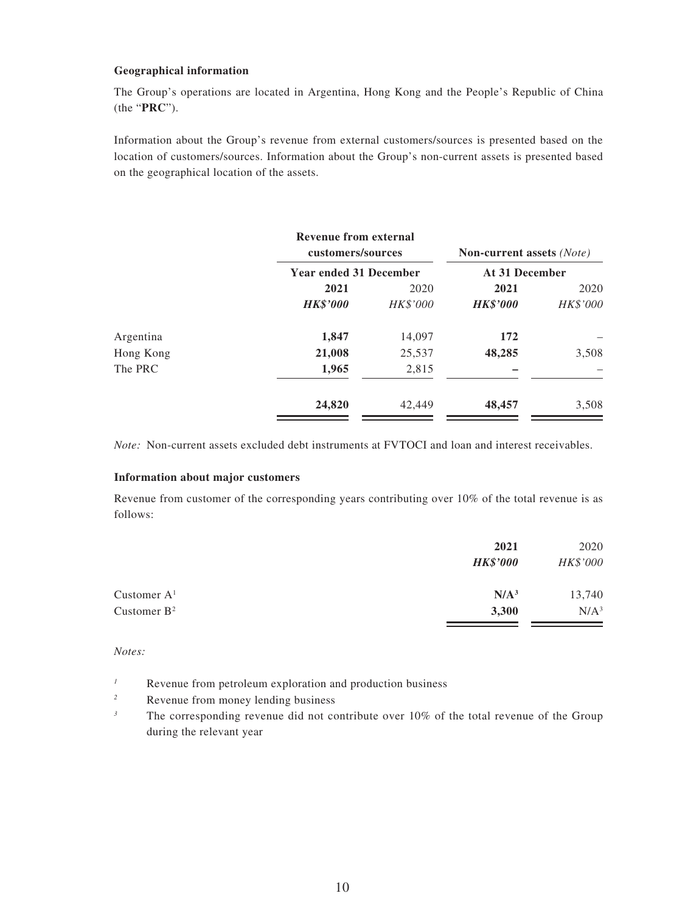#### **Geographical information**

The Group's operations are located in Argentina, Hong Kong and the People's Republic of China (the "**PRC**").

Information about the Group's revenue from external customers/sources is presented based on the location of customers/sources. Information about the Group's non-current assets is presented based on the geographical location of the assets.

|           | <b>Revenue from external</b><br>customers/sources |                               | <b>Non-current assets</b> (Note) |                |
|-----------|---------------------------------------------------|-------------------------------|----------------------------------|----------------|
|           |                                                   | <b>Year ended 31 December</b> |                                  | At 31 December |
|           | 2021                                              | 2020                          | 2021                             | 2020           |
|           | <b>HK\$'000</b>                                   | <b>HK\$'000</b>               | <b>HK\$'000</b>                  | HK\$'000       |
| Argentina | 1,847                                             | 14,097                        | 172                              |                |
| Hong Kong | 21,008                                            | 25,537                        | 48,285                           | 3,508          |
| The PRC   | 1,965                                             | 2,815                         |                                  |                |
|           | 24,820                                            | 42,449                        | 48,457                           | 3,508          |

*Note:* Non-current assets excluded debt instruments at FVTOCI and loan and interest receivables.

#### **Information about major customers**

Revenue from customer of the corresponding years contributing over 10% of the total revenue is as follows:

|                | 2021             | 2020     |
|----------------|------------------|----------|
|                | <b>HK\$'000</b>  | HK\$'000 |
| Customer $A1$  | N/A <sup>3</sup> | 13,740   |
| Customer $B^2$ | 3,300            | $N/A^3$  |

*Notes:*

- <sup>1</sup> Revenue from petroleum exploration and production business
- *<sup>2</sup>* Revenue from money lending business
- <sup>3</sup> The corresponding revenue did not contribute over 10% of the total revenue of the Group during the relevant year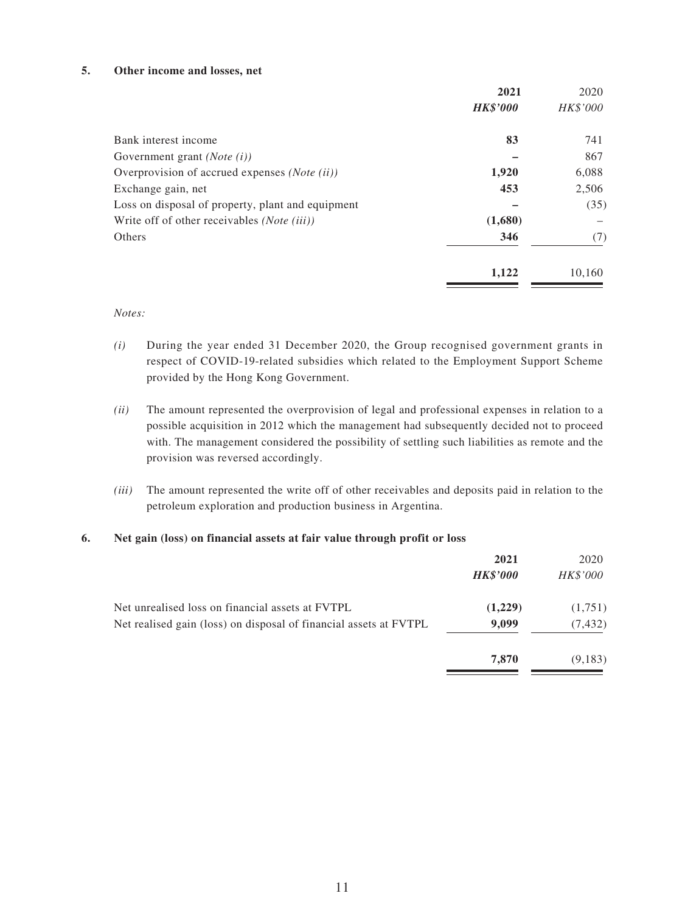#### **5. Other income and losses, net**

|                                                    | 2021            | 2020     |
|----------------------------------------------------|-----------------|----------|
|                                                    | <b>HK\$'000</b> | HK\$'000 |
| Bank interest income                               | 83              | 741      |
| Government grant ( <i>Note</i> $(i)$ )             |                 | 867      |
| Overprovision of accrued expenses (Note (ii))      | 1,920           | 6,088    |
| Exchange gain, net                                 | 453             | 2,506    |
| Loss on disposal of property, plant and equipment  |                 | (35)     |
| Write off of other receivables <i>(Note (iii))</i> | (1,680)         |          |
| Others                                             | 346             | (7)      |
|                                                    | 1,122           | 10,160   |
|                                                    |                 |          |

*Notes:*

- *(i)* During the year ended 31 December 2020, the Group recognised government grants in respect of COVID-19-related subsidies which related to the Employment Support Scheme provided by the Hong Kong Government.
- *(ii)* The amount represented the overprovision of legal and professional expenses in relation to a possible acquisition in 2012 which the management had subsequently decided not to proceed with. The management considered the possibility of settling such liabilities as remote and the provision was reversed accordingly.
- *(iii)* The amount represented the write off of other receivables and deposits paid in relation to the petroleum exploration and production business in Argentina.

#### **6. Net gain (loss) on financial assets at fair value through profit or loss**

|                                                                   | 2021<br><b>HK\$'000</b> | 2020<br><i>HK\$'000</i> |
|-------------------------------------------------------------------|-------------------------|-------------------------|
| Net unrealised loss on financial assets at FVTPL                  | (1,229)                 | (1,751)                 |
| Net realised gain (loss) on disposal of financial assets at FVTPL | 9,099                   | (7, 432)                |
|                                                                   | 7,870                   | (9,183)                 |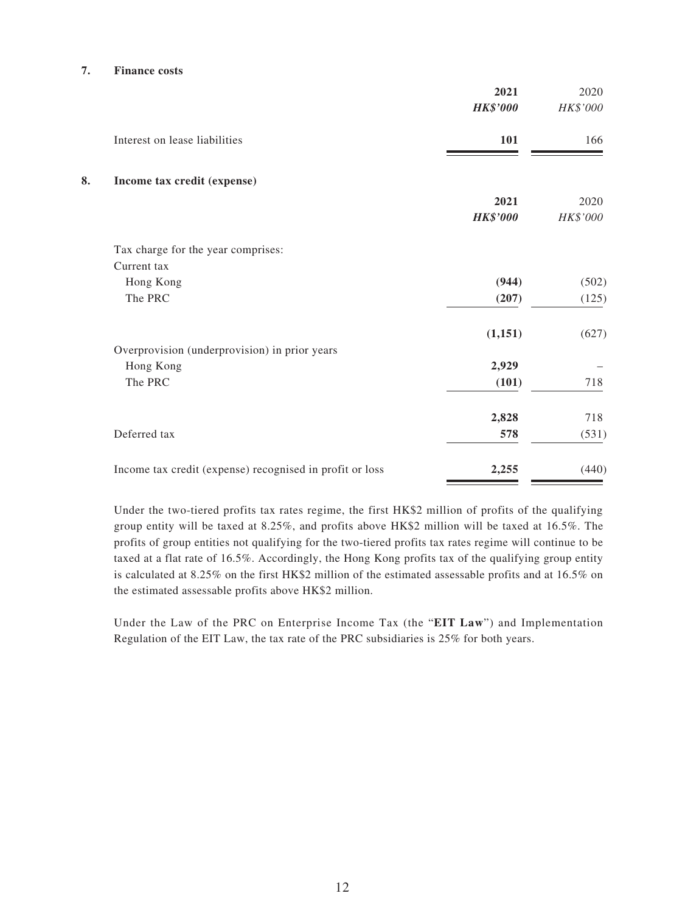#### **7. Finance costs**

|                                                          | 2021<br><b>HK\$'000</b> | 2020<br>HK\$'000 |
|----------------------------------------------------------|-------------------------|------------------|
| Interest on lease liabilities                            | 101                     | 166              |
| 8.<br>Income tax credit (expense)                        |                         |                  |
|                                                          | 2021<br><b>HK\$'000</b> | 2020<br>HK\$'000 |
| Tax charge for the year comprises:                       |                         |                  |
| Current tax                                              |                         |                  |
| Hong Kong                                                | (944)                   | (502)            |
| The PRC                                                  | (207)                   | (125)            |
|                                                          | (1,151)                 | (627)            |
| Overprovision (underprovision) in prior years            |                         |                  |
| Hong Kong                                                | 2,929                   |                  |
| The PRC                                                  | (101)                   | 718              |
|                                                          | 2,828                   | 718              |
| Deferred tax                                             | 578                     | (531)            |
| Income tax credit (expense) recognised in profit or loss | 2,255                   | (440)            |

Under the two-tiered profits tax rates regime, the first HK\$2 million of profits of the qualifying group entity will be taxed at 8.25%, and profits above HK\$2 million will be taxed at 16.5%. The profits of group entities not qualifying for the two-tiered profits tax rates regime will continue to be taxed at a flat rate of 16.5%. Accordingly, the Hong Kong profits tax of the qualifying group entity is calculated at 8.25% on the first HK\$2 million of the estimated assessable profits and at 16.5% on the estimated assessable profits above HK\$2 million.

Under the Law of the PRC on Enterprise Income Tax (the "**EIT Law**") and Implementation Regulation of the EIT Law, the tax rate of the PRC subsidiaries is 25% for both years.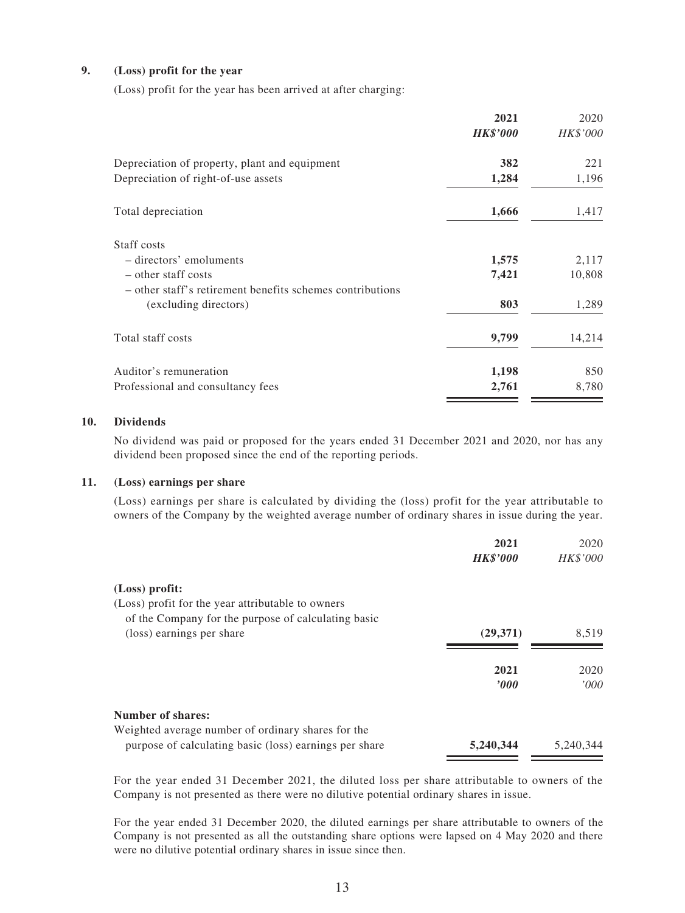### **9. (Loss) profit for the year**

(Loss) profit for the year has been arrived at after charging:

|                                                           | 2021            | 2020     |
|-----------------------------------------------------------|-----------------|----------|
|                                                           | <b>HK\$'000</b> | HK\$'000 |
| Depreciation of property, plant and equipment             | 382             | 221      |
| Depreciation of right-of-use assets                       | 1,284           | 1,196    |
| Total depreciation                                        | 1,666           | 1,417    |
| Staff costs                                               |                 |          |
| - directors' emoluments                                   | 1,575           | 2,117    |
| – other staff costs                                       | 7,421           | 10,808   |
| - other staff's retirement benefits schemes contributions |                 |          |
| (excluding directors)                                     | 803             | 1,289    |
| Total staff costs                                         | 9,799           | 14,214   |
| Auditor's remuneration                                    | 1,198           | 850      |
| Professional and consultancy fees                         | 2,761           | 8,780    |
|                                                           |                 |          |

#### **10. Dividends**

No dividend was paid or proposed for the years ended 31 December 2021 and 2020, nor has any dividend been proposed since the end of the reporting periods.

#### **11. (Loss) earnings per share**

(Loss) earnings per share is calculated by dividing the (loss) profit for the year attributable to owners of the Company by the weighted average number of ordinary shares in issue during the year.

|                                                        | 2021            | 2020            |
|--------------------------------------------------------|-----------------|-----------------|
|                                                        | <b>HK\$'000</b> | <b>HK\$'000</b> |
| $(Loss)$ profit:                                       |                 |                 |
| (Loss) profit for the year attributable to owners      |                 |                 |
| of the Company for the purpose of calculating basic    |                 |                 |
| (loss) earnings per share                              | (29,371)        | 8.519           |
|                                                        | 2021            | 2020            |
|                                                        | $\bm{v}$        | '000'           |
| Number of shares:                                      |                 |                 |
| Weighted average number of ordinary shares for the     |                 |                 |
| purpose of calculating basic (loss) earnings per share | 5,240,344       | 5.240.344       |

For the year ended 31 December 2021, the diluted loss per share attributable to owners of the Company is not presented as there were no dilutive potential ordinary shares in issue.

For the year ended 31 December 2020, the diluted earnings per share attributable to owners of the Company is not presented as all the outstanding share options were lapsed on 4 May 2020 and there were no dilutive potential ordinary shares in issue since then.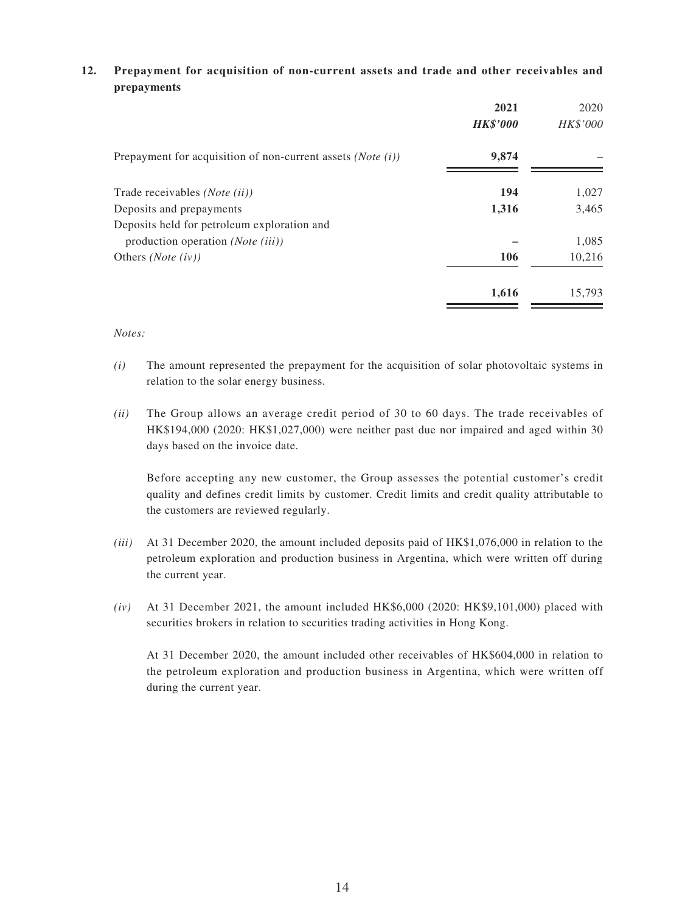### **12. Prepayment for acquisition of non-current assets and trade and other receivables and prepayments**

|                                                               | 2021            | 2020     |
|---------------------------------------------------------------|-----------------|----------|
|                                                               | <b>HK\$'000</b> | HK\$'000 |
| Prepayment for acquisition of non-current assets $(Note (i))$ | 9,874           |          |
| Trade receivables ( <i>Note</i> ( <i>ii</i> ))                | 194             | 1,027    |
| Deposits and prepayments                                      | 1,316           | 3,465    |
| Deposits held for petroleum exploration and                   |                 |          |
| production operation (Note (iii))                             |                 | 1,085    |
| Others ( <i>Note</i> $(iv)$ )                                 | 106             | 10,216   |
|                                                               | 1,616           | 15,793   |

*Notes:*

- *(i)* The amount represented the prepayment for the acquisition of solar photovoltaic systems in relation to the solar energy business.
- *(ii)* The Group allows an average credit period of 30 to 60 days. The trade receivables of HK\$194,000 (2020: HK\$1,027,000) were neither past due nor impaired and aged within 30 days based on the invoice date.

Before accepting any new customer, the Group assesses the potential customer's credit quality and defines credit limits by customer. Credit limits and credit quality attributable to the customers are reviewed regularly.

- *(iii)* At 31 December 2020, the amount included deposits paid of HK\$1,076,000 in relation to the petroleum exploration and production business in Argentina, which were written off during the current year.
- *(iv)* At 31 December 2021, the amount included  $HK$6,000$  (2020:  $HK$9,101,000$ ) placed with securities brokers in relation to securities trading activities in Hong Kong.

At 31 December 2020, the amount included other receivables of HK\$604,000 in relation to the petroleum exploration and production business in Argentina, which were written off during the current year.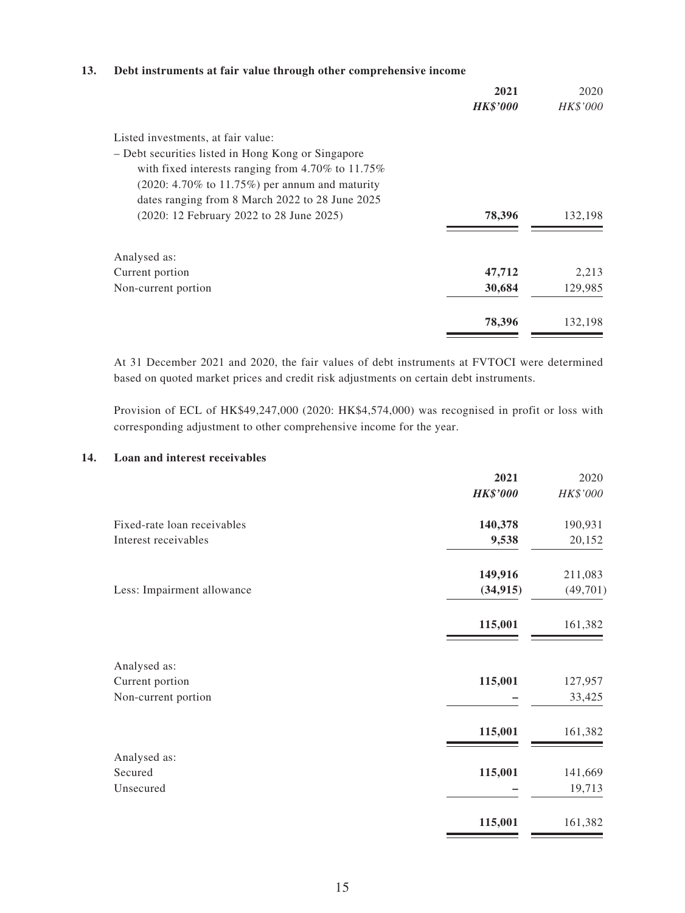### **13. Debt instruments at fair value through other comprehensive income**

|                                                         | 2021<br><b>HK\$'000</b> | 2020<br><b>HK\$'000</b> |
|---------------------------------------------------------|-------------------------|-------------------------|
| Listed investments, at fair value:                      |                         |                         |
| - Debt securities listed in Hong Kong or Singapore      |                         |                         |
| with fixed interests ranging from $4.70\%$ to $11.75\%$ |                         |                         |
| $(2020: 4.70\%$ to 11.75%) per annum and maturity       |                         |                         |
| dates ranging from 8 March 2022 to 28 June 2025         |                         |                         |
| (2020: 12 February 2022 to 28 June 2025)                | 78,396                  | 132,198                 |
| Analysed as:                                            |                         |                         |
| Current portion                                         | 47,712                  | 2,213                   |
| Non-current portion                                     | 30,684                  | 129,985                 |
|                                                         | 78,396                  | 132,198                 |

At 31 December 2021 and 2020, the fair values of debt instruments at FVTOCI were determined based on quoted market prices and credit risk adjustments on certain debt instruments.

Provision of ECL of HK\$49,247,000 (2020: HK\$4,574,000) was recognised in profit or loss with corresponding adjustment to other comprehensive income for the year.

#### **14. Loan and interest receivables**

|                             | 2021            | 2020     |
|-----------------------------|-----------------|----------|
|                             | <b>HK\$'000</b> | HK\$'000 |
| Fixed-rate loan receivables | 140,378         | 190,931  |
| Interest receivables        | 9,538           | 20,152   |
|                             | 149,916         | 211,083  |
| Less: Impairment allowance  | (34, 915)       | (49,701) |
|                             | 115,001         | 161,382  |
| Analysed as:                |                 |          |
| Current portion             | 115,001         | 127,957  |
| Non-current portion         |                 | 33,425   |
|                             | 115,001         | 161,382  |
| Analysed as:                |                 |          |
| Secured                     | 115,001         | 141,669  |
| Unsecured                   |                 | 19,713   |
|                             | 115,001         | 161,382  |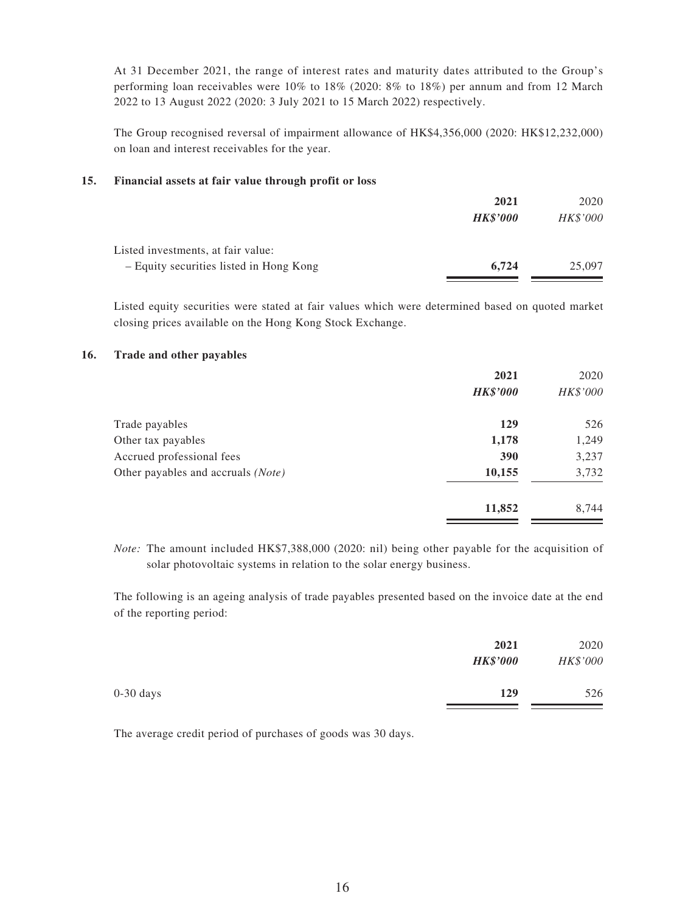At 31 December 2021, the range of interest rates and maturity dates attributed to the Group's performing loan receivables were 10% to 18% (2020: 8% to 18%) per annum and from 12 March 2022 to 13 August 2022 (2020: 3 July 2021 to 15 March 2022) respectively.

The Group recognised reversal of impairment allowance of HK\$4,356,000 (2020: HK\$12,232,000) on loan and interest receivables for the year.

#### **15. Financial assets at fair value through profit or loss**

|                                         | 2021            | 2020     |
|-----------------------------------------|-----------------|----------|
|                                         | <b>HK\$'000</b> | HK\$'000 |
| Listed investments, at fair value:      |                 |          |
| - Equity securities listed in Hong Kong | 6.724           | 25,097   |

Listed equity securities were stated at fair values which were determined based on quoted market closing prices available on the Hong Kong Stock Exchange.

#### **16. Trade and other payables**

|                                    | 2021<br><b>HK\$'000</b> | 2020<br>HK\$'000 |
|------------------------------------|-------------------------|------------------|
| Trade payables                     | 129                     | 526              |
| Other tax payables                 | 1,178                   | 1,249            |
| Accrued professional fees          | 390                     | 3,237            |
| Other payables and accruals (Note) | 10,155                  | 3,732            |
|                                    | 11,852                  | 8,744            |

*Note:* The amount included HK\$7,388,000 (2020: nil) being other payable for the acquisition of solar photovoltaic systems in relation to the solar energy business.

The following is an ageing analysis of trade payables presented based on the invoice date at the end of the reporting period:

|             | 2021<br><b>HK\$'000</b> | 2020<br>HK\$'000 |
|-------------|-------------------------|------------------|
| $0-30$ days | 129                     | 526              |

The average credit period of purchases of goods was 30 days.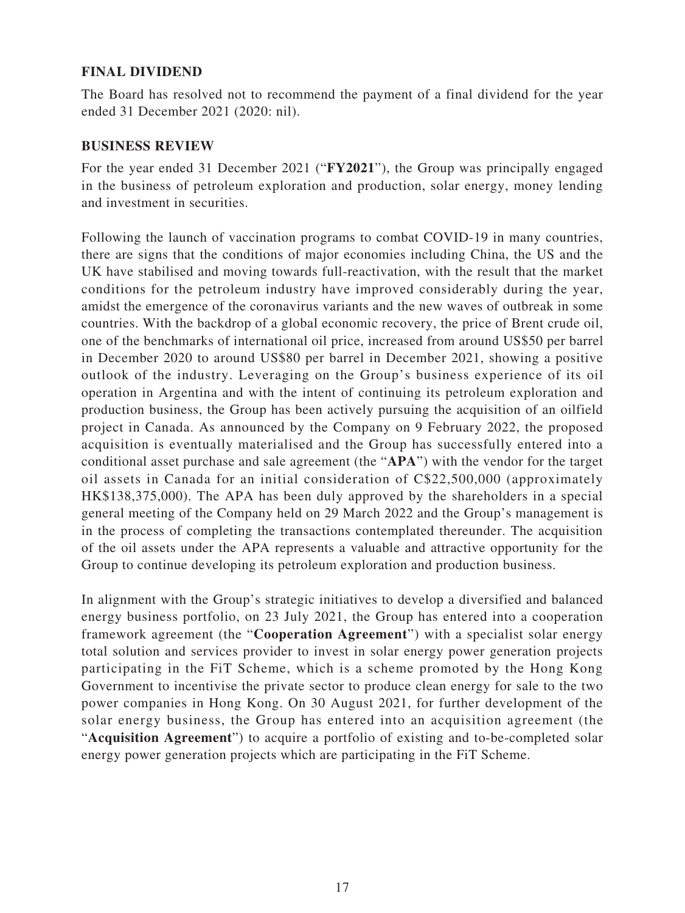## **FINAL DIVIDEND**

The Board has resolved not to recommend the payment of a final dividend for the year ended 31 December 2021 (2020: nil).

### **BUSINESS REVIEW**

For the year ended 31 December 2021 ("**FY2021**"), the Group was principally engaged in the business of petroleum exploration and production, solar energy, money lending and investment in securities.

Following the launch of vaccination programs to combat COVID-19 in many countries, there are signs that the conditions of major economies including China, the US and the UK have stabilised and moving towards full-reactivation, with the result that the market conditions for the petroleum industry have improved considerably during the year, amidst the emergence of the coronavirus variants and the new waves of outbreak in some countries. With the backdrop of a global economic recovery, the price of Brent crude oil, one of the benchmarks of international oil price, increased from around US\$50 per barrel in December 2020 to around US\$80 per barrel in December 2021, showing a positive outlook of the industry. Leveraging on the Group's business experience of its oil operation in Argentina and with the intent of continuing its petroleum exploration and production business, the Group has been actively pursuing the acquisition of an oilfield project in Canada. As announced by the Company on 9 February 2022, the proposed acquisition is eventually materialised and the Group has successfully entered into a conditional asset purchase and sale agreement (the "**APA**") with the vendor for the target oil assets in Canada for an initial consideration of C\$22,500,000 (approximately HK\$138,375,000). The APA has been duly approved by the shareholders in a special general meeting of the Company held on 29 March 2022 and the Group's management is in the process of completing the transactions contemplated thereunder. The acquisition of the oil assets under the APA represents a valuable and attractive opportunity for the Group to continue developing its petroleum exploration and production business.

In alignment with the Group's strategic initiatives to develop a diversified and balanced energy business portfolio, on 23 July 2021, the Group has entered into a cooperation framework agreement (the "**Cooperation Agreement**") with a specialist solar energy total solution and services provider to invest in solar energy power generation projects participating in the FiT Scheme, which is a scheme promoted by the Hong Kong Government to incentivise the private sector to produce clean energy for sale to the two power companies in Hong Kong. On 30 August 2021, for further development of the solar energy business, the Group has entered into an acquisition agreement (the "**Acquisition Agreement**") to acquire a portfolio of existing and to-be-completed solar energy power generation projects which are participating in the FiT Scheme.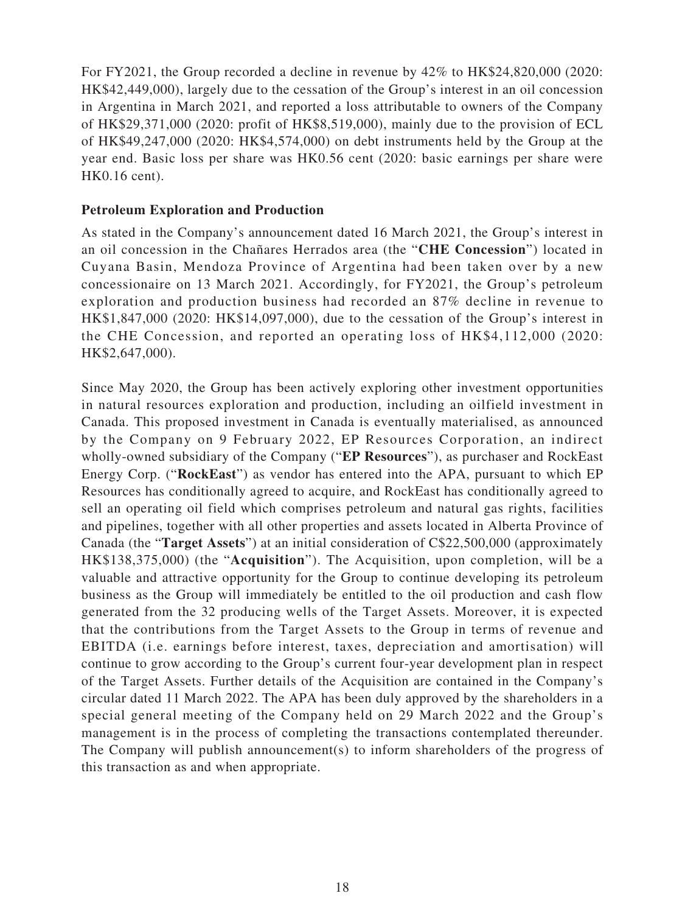For FY2021, the Group recorded a decline in revenue by 42% to HK\$24,820,000 (2020: HK\$42,449,000), largely due to the cessation of the Group's interest in an oil concession in Argentina in March 2021, and reported a loss attributable to owners of the Company of HK\$29,371,000 (2020: profit of HK\$8,519,000), mainly due to the provision of ECL of HK\$49,247,000 (2020: HK\$4,574,000) on debt instruments held by the Group at the year end. Basic loss per share was HK0.56 cent (2020: basic earnings per share were HK0.16 cent).

### **Petroleum Exploration and Production**

As stated in the Company's announcement dated 16 March 2021, the Group's interest in an oil concession in the Chañares Herrados area (the "**CHE Concession**") located in Cuyana Basin, Mendoza Province of Argentina had been taken over by a new concessionaire on 13 March 2021. Accordingly, for FY2021, the Group's petroleum exploration and production business had recorded an 87% decline in revenue to HK\$1,847,000 (2020: HK\$14,097,000), due to the cessation of the Group's interest in the CHE Concession, and reported an operating loss of HK\$4,112,000 (2020: HK\$2,647,000).

Since May 2020, the Group has been actively exploring other investment opportunities in natural resources exploration and production, including an oilfield investment in Canada. This proposed investment in Canada is eventually materialised, as announced by the Company on 9 February 2022, EP Resources Corporation, an indirect wholly-owned subsidiary of the Company ("**EP Resources**"), as purchaser and RockEast Energy Corp. ("**RockEast**") as vendor has entered into the APA, pursuant to which EP Resources has conditionally agreed to acquire, and RockEast has conditionally agreed to sell an operating oil field which comprises petroleum and natural gas rights, facilities and pipelines, together with all other properties and assets located in Alberta Province of Canada (the "**Target Assets**") at an initial consideration of C\$22,500,000 (approximately HK\$138,375,000) (the "**Acquisition**"). The Acquisition, upon completion, will be a valuable and attractive opportunity for the Group to continue developing its petroleum business as the Group will immediately be entitled to the oil production and cash flow generated from the 32 producing wells of the Target Assets. Moreover, it is expected that the contributions from the Target Assets to the Group in terms of revenue and EBITDA (i.e. earnings before interest, taxes, depreciation and amortisation) will continue to grow according to the Group's current four-year development plan in respect of the Target Assets. Further details of the Acquisition are contained in the Company's circular dated 11 March 2022. The APA has been duly approved by the shareholders in a special general meeting of the Company held on 29 March 2022 and the Group's management is in the process of completing the transactions contemplated thereunder. The Company will publish announcement(s) to inform shareholders of the progress of this transaction as and when appropriate.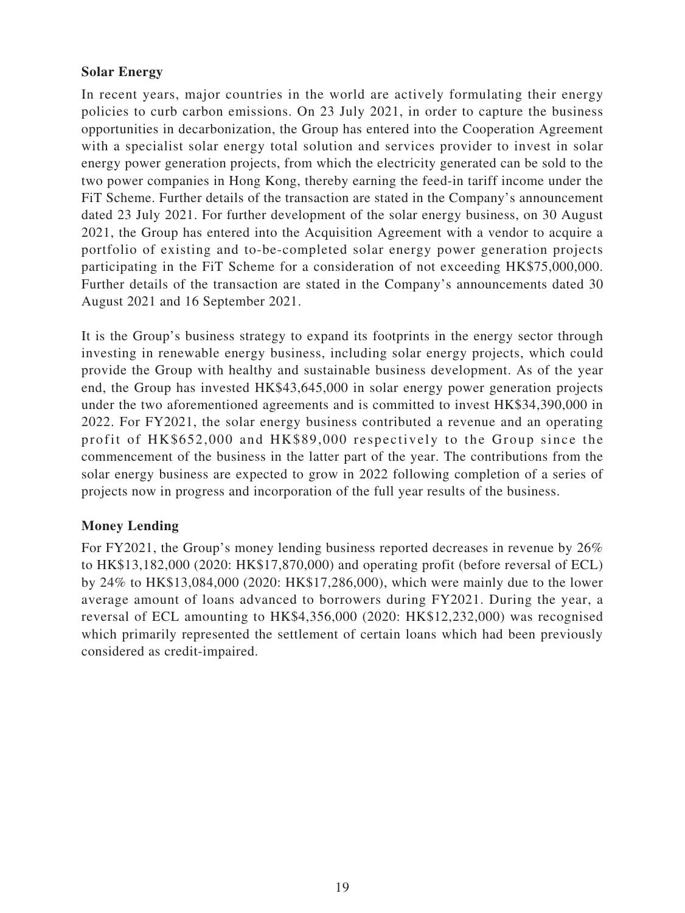## **Solar Energy**

In recent years, major countries in the world are actively formulating their energy policies to curb carbon emissions. On 23 July 2021, in order to capture the business opportunities in decarbonization, the Group has entered into the Cooperation Agreement with a specialist solar energy total solution and services provider to invest in solar energy power generation projects, from which the electricity generated can be sold to the two power companies in Hong Kong, thereby earning the feed-in tariff income under the FiT Scheme. Further details of the transaction are stated in the Company's announcement dated 23 July 2021. For further development of the solar energy business, on 30 August 2021, the Group has entered into the Acquisition Agreement with a vendor to acquire a portfolio of existing and to-be-completed solar energy power generation projects participating in the FiT Scheme for a consideration of not exceeding HK\$75,000,000. Further details of the transaction are stated in the Company's announcements dated 30 August 2021 and 16 September 2021.

It is the Group's business strategy to expand its footprints in the energy sector through investing in renewable energy business, including solar energy projects, which could provide the Group with healthy and sustainable business development. As of the year end, the Group has invested HK\$43,645,000 in solar energy power generation projects under the two aforementioned agreements and is committed to invest HK\$34,390,000 in 2022. For FY2021, the solar energy business contributed a revenue and an operating profit of HK\$652,000 and HK\$89,000 respectively to the Group since the commencement of the business in the latter part of the year. The contributions from the solar energy business are expected to grow in 2022 following completion of a series of projects now in progress and incorporation of the full year results of the business.

## **Money Lending**

For FY2021, the Group's money lending business reported decreases in revenue by 26% to HK\$13,182,000 (2020: HK\$17,870,000) and operating profit (before reversal of ECL) by 24% to HK\$13,084,000 (2020: HK\$17,286,000), which were mainly due to the lower average amount of loans advanced to borrowers during FY2021. During the year, a reversal of ECL amounting to HK\$4,356,000 (2020: HK\$12,232,000) was recognised which primarily represented the settlement of certain loans which had been previously considered as credit-impaired.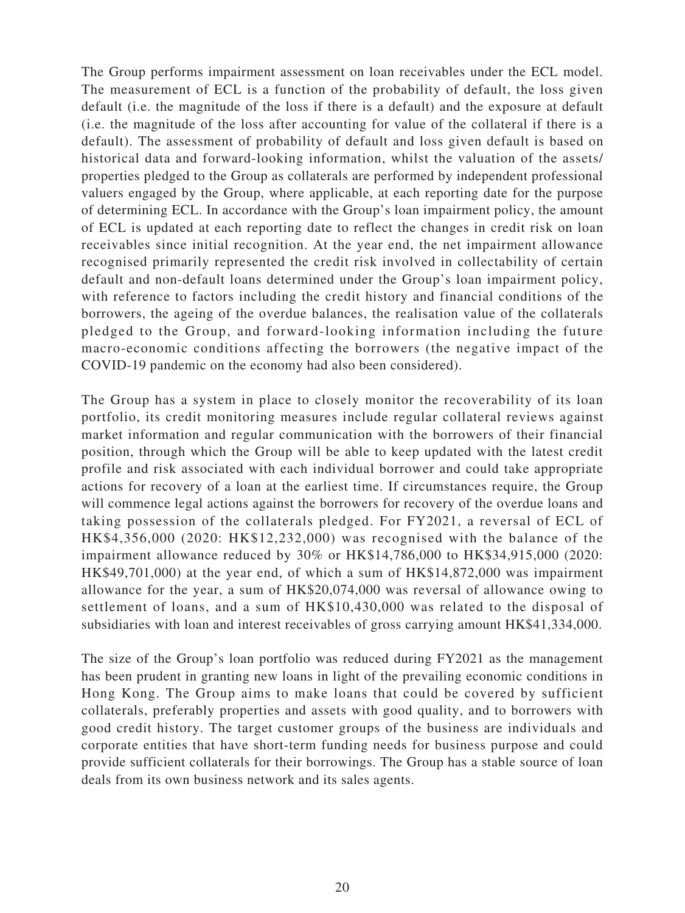The Group performs impairment assessment on loan receivables under the ECL model. The measurement of ECL is a function of the probability of default, the loss given default (i.e. the magnitude of the loss if there is a default) and the exposure at default (i.e. the magnitude of the loss after accounting for value of the collateral if there is a default). The assessment of probability of default and loss given default is based on historical data and forward-looking information, whilst the valuation of the assets/ properties pledged to the Group as collaterals are performed by independent professional valuers engaged by the Group, where applicable, at each reporting date for the purpose of determining ECL. In accordance with the Group's loan impairment policy, the amount of ECL is updated at each reporting date to reflect the changes in credit risk on loan receivables since initial recognition. At the year end, the net impairment allowance recognised primarily represented the credit risk involved in collectability of certain default and non-default loans determined under the Group's loan impairment policy, with reference to factors including the credit history and financial conditions of the borrowers, the ageing of the overdue balances, the realisation value of the collaterals pledged to the Group, and forward-looking information including the future macro-economic conditions affecting the borrowers (the negative impact of the COVID-19 pandemic on the economy had also been considered).

The Group has a system in place to closely monitor the recoverability of its loan portfolio, its credit monitoring measures include regular collateral reviews against market information and regular communication with the borrowers of their financial position, through which the Group will be able to keep updated with the latest credit profile and risk associated with each individual borrower and could take appropriate actions for recovery of a loan at the earliest time. If circumstances require, the Group will commence legal actions against the borrowers for recovery of the overdue loans and taking possession of the collaterals pledged. For FY2021, a reversal of ECL of HK\$4,356,000 (2020: HK\$12,232,000) was recognised with the balance of the impairment allowance reduced by 30% or HK\$14,786,000 to HK\$34,915,000 (2020: HK\$49,701,000) at the year end, of which a sum of HK\$14,872,000 was impairment allowance for the year, a sum of HK\$20,074,000 was reversal of allowance owing to settlement of loans, and a sum of HK\$10,430,000 was related to the disposal of subsidiaries with loan and interest receivables of gross carrying amount HK\$41,334,000.

The size of the Group's loan portfolio was reduced during FY2021 as the management has been prudent in granting new loans in light of the prevailing economic conditions in Hong Kong. The Group aims to make loans that could be covered by sufficient collaterals, preferably properties and assets with good quality, and to borrowers with good credit history. The target customer groups of the business are individuals and corporate entities that have short-term funding needs for business purpose and could provide sufficient collaterals for their borrowings. The Group has a stable source of loan deals from its own business network and its sales agents.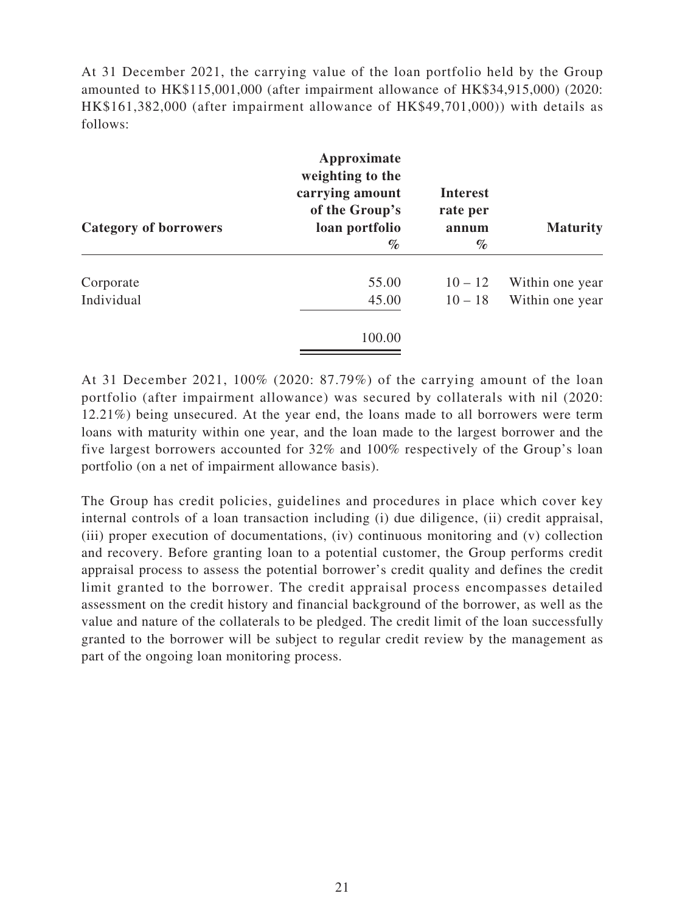At 31 December 2021, the carrying value of the loan portfolio held by the Group amounted to HK\$115,001,000 (after impairment allowance of HK\$34,915,000) (2020: HK\$161,382,000 (after impairment allowance of HK\$49,701,000)) with details as follows:

| Category of borrowers | Approximate<br>weighting to the<br>carrying amount<br>of the Group's<br>loan portfolio | <b>Interest</b><br>rate per<br>annum | <b>Maturity</b> |
|-----------------------|----------------------------------------------------------------------------------------|--------------------------------------|-----------------|
|                       | $\%$                                                                                   | $\%$                                 |                 |
| Corporate             | 55.00                                                                                  | $10 - 12$                            | Within one year |
| Individual            | 45.00                                                                                  | $10 - 18$                            | Within one year |
|                       | 100.00                                                                                 |                                      |                 |

At 31 December 2021, 100% (2020: 87.79%) of the carrying amount of the loan portfolio (after impairment allowance) was secured by collaterals with nil (2020: 12.21%) being unsecured. At the year end, the loans made to all borrowers were term loans with maturity within one year, and the loan made to the largest borrower and the five largest borrowers accounted for 32% and 100% respectively of the Group's loan portfolio (on a net of impairment allowance basis).

The Group has credit policies, guidelines and procedures in place which cover key internal controls of a loan transaction including (i) due diligence, (ii) credit appraisal, (iii) proper execution of documentations, (iv) continuous monitoring and (v) collection and recovery. Before granting loan to a potential customer, the Group performs credit appraisal process to assess the potential borrower's credit quality and defines the credit limit granted to the borrower. The credit appraisal process encompasses detailed assessment on the credit history and financial background of the borrower, as well as the value and nature of the collaterals to be pledged. The credit limit of the loan successfully granted to the borrower will be subject to regular credit review by the management as part of the ongoing loan monitoring process.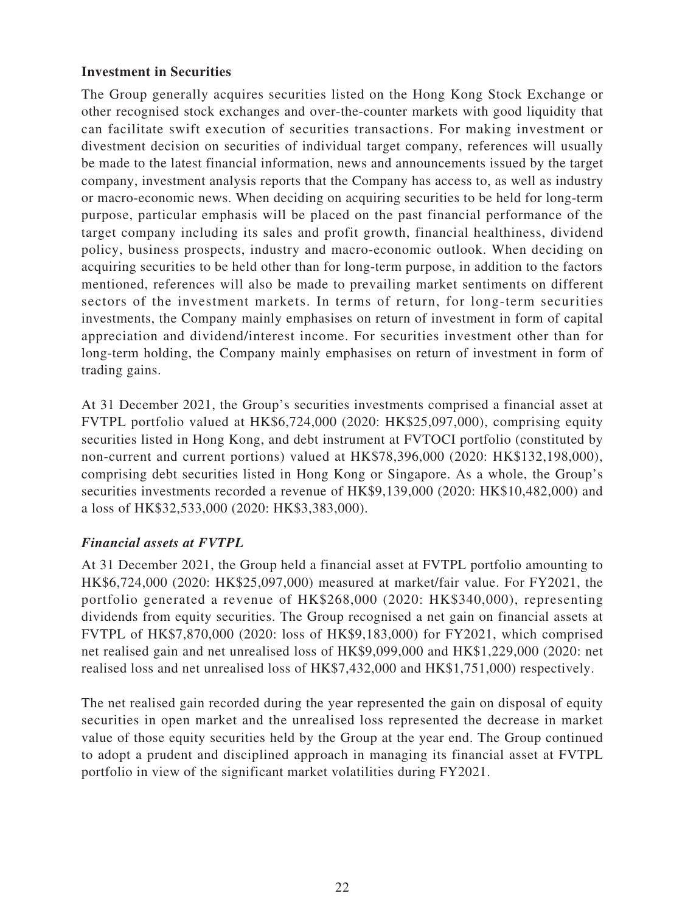## **Investment in Securities**

The Group generally acquires securities listed on the Hong Kong Stock Exchange or other recognised stock exchanges and over-the-counter markets with good liquidity that can facilitate swift execution of securities transactions. For making investment or divestment decision on securities of individual target company, references will usually be made to the latest financial information, news and announcements issued by the target company, investment analysis reports that the Company has access to, as well as industry or macro-economic news. When deciding on acquiring securities to be held for long-term purpose, particular emphasis will be placed on the past financial performance of the target company including its sales and profit growth, financial healthiness, dividend policy, business prospects, industry and macro-economic outlook. When deciding on acquiring securities to be held other than for long-term purpose, in addition to the factors mentioned, references will also be made to prevailing market sentiments on different sectors of the investment markets. In terms of return, for long-term securities investments, the Company mainly emphasises on return of investment in form of capital appreciation and dividend/interest income. For securities investment other than for long-term holding, the Company mainly emphasises on return of investment in form of trading gains.

At 31 December 2021, the Group's securities investments comprised a financial asset at FVTPL portfolio valued at HK\$6,724,000 (2020: HK\$25,097,000), comprising equity securities listed in Hong Kong, and debt instrument at FVTOCI portfolio (constituted by non-current and current portions) valued at HK\$78,396,000 (2020: HK\$132,198,000), comprising debt securities listed in Hong Kong or Singapore. As a whole, the Group's securities investments recorded a revenue of HK\$9,139,000 (2020: HK\$10,482,000) and a loss of HK\$32,533,000 (2020: HK\$3,383,000).

# *Financial assets at FVTPL*

At 31 December 2021, the Group held a financial asset at FVTPL portfolio amounting to HK\$6,724,000 (2020: HK\$25,097,000) measured at market/fair value. For FY2021, the portfolio generated a revenue of HK\$268,000 (2020: HK\$340,000), representing dividends from equity securities. The Group recognised a net gain on financial assets at FVTPL of HK\$7,870,000 (2020: loss of HK\$9,183,000) for FY2021, which comprised net realised gain and net unrealised loss of HK\$9,099,000 and HK\$1,229,000 (2020: net realised loss and net unrealised loss of HK\$7,432,000 and HK\$1,751,000) respectively.

The net realised gain recorded during the year represented the gain on disposal of equity securities in open market and the unrealised loss represented the decrease in market value of those equity securities held by the Group at the year end. The Group continued to adopt a prudent and disciplined approach in managing its financial asset at FVTPL portfolio in view of the significant market volatilities during FY2021.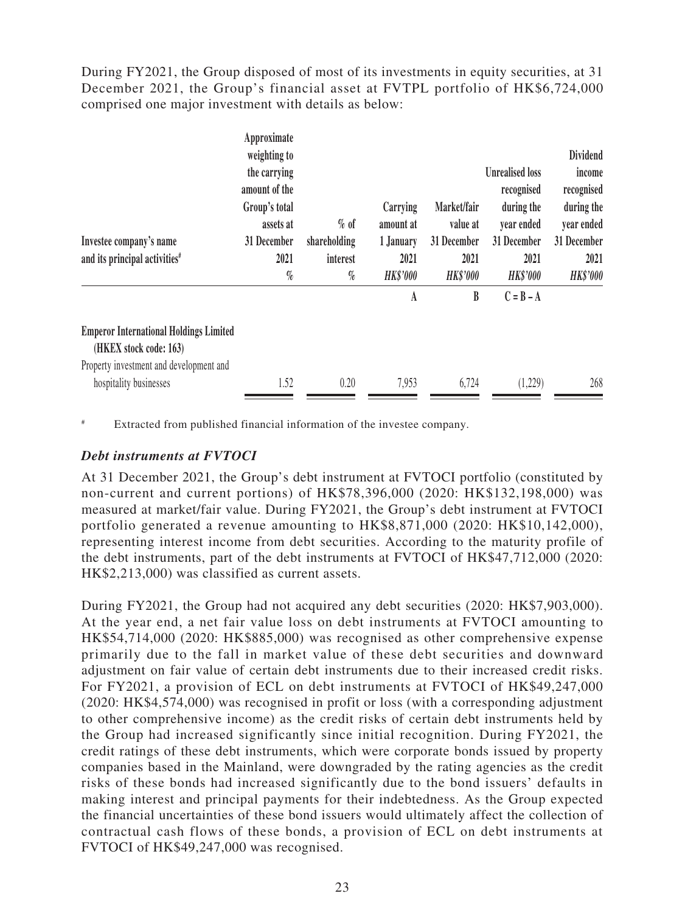During FY2021, the Group disposed of most of its investments in equity securities, at 31 December 2021, the Group's financial asset at FVTPL portfolio of HK\$6,724,000 comprised one major investment with details as below:

|                                                                         | Approximate<br>weighting to<br>the carrying |              |                       |                         | <b>Unrealised loss</b>   | <b>Dividend</b><br>income |
|-------------------------------------------------------------------------|---------------------------------------------|--------------|-----------------------|-------------------------|--------------------------|---------------------------|
|                                                                         | amount of the                               |              |                       |                         | recognised               | recognised                |
|                                                                         | Group's total<br>assets at                  | $\%$ of      | Carrying<br>amount at | Market/fair<br>value at | during the<br>year ended | during the<br>year ended  |
| Investee company's name                                                 | 31 December                                 | shareholding | 1 January             | 31 December             | 31 December              | 31 December               |
| and its principal activities <sup>#</sup>                               | 2021                                        | interest     | 2021                  | 2021                    | 2021                     | 2021                      |
|                                                                         | $\%$                                        | $\%$         | <b>HK\$'000</b>       | <b>HK\$'000</b>         | <b>HK\$'000</b>          | <b>HK\$'000</b>           |
|                                                                         |                                             |              | A                     | B                       | $C = B - A$              |                           |
| <b>Emperor International Holdings Limited</b><br>(HKEX stock code: 163) |                                             |              |                       |                         |                          |                           |
| Property investment and development and                                 |                                             |              |                       |                         |                          |                           |
| hospitality businesses                                                  | 1.52                                        | 0.20         | 7,953                 | 6,724                   | (1,229)                  | 268                       |

Extracted from published financial information of the investee company.

### *Debt instruments at FVTOCI*

At 31 December 2021, the Group's debt instrument at FVTOCI portfolio (constituted by non-current and current portions) of HK\$78,396,000 (2020: HK\$132,198,000) was measured at market/fair value. During FY2021, the Group's debt instrument at FVTOCI portfolio generated a revenue amounting to HK\$8,871,000 (2020: HK\$10,142,000), representing interest income from debt securities. According to the maturity profile of the debt instruments, part of the debt instruments at FVTOCI of HK\$47,712,000 (2020: HK\$2,213,000) was classified as current assets.

During FY2021, the Group had not acquired any debt securities (2020: HK\$7,903,000). At the year end, a net fair value loss on debt instruments at FVTOCI amounting to HK\$54,714,000 (2020: HK\$885,000) was recognised as other comprehensive expense primarily due to the fall in market value of these debt securities and downward adjustment on fair value of certain debt instruments due to their increased credit risks. For FY2021, a provision of ECL on debt instruments at FVTOCI of HK\$49,247,000 (2020: HK\$4,574,000) was recognised in profit or loss (with a corresponding adjustment to other comprehensive income) as the credit risks of certain debt instruments held by the Group had increased significantly since initial recognition. During FY2021, the credit ratings of these debt instruments, which were corporate bonds issued by property companies based in the Mainland, were downgraded by the rating agencies as the credit risks of these bonds had increased significantly due to the bond issuers' defaults in making interest and principal payments for their indebtedness. As the Group expected the financial uncertainties of these bond issuers would ultimately affect the collection of contractual cash flows of these bonds, a provision of ECL on debt instruments at FVTOCI of HK\$49,247,000 was recognised.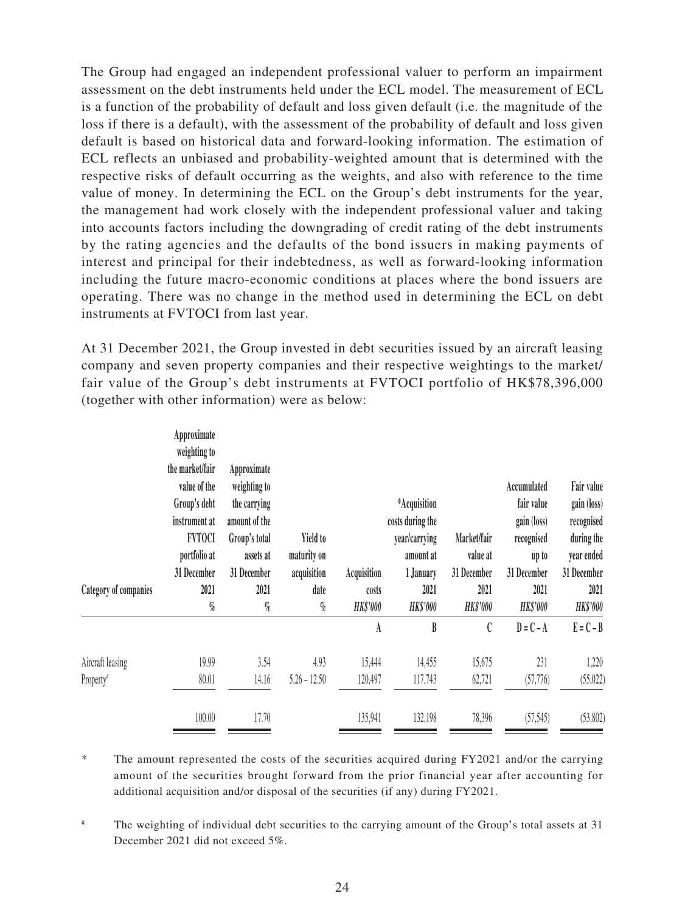The Group had engaged an independent professional valuer to perform an impairment assessment on the debt instruments held under the ECL model. The measurement of ECL is a function of the probability of default and loss given default (i.e. the magnitude of the loss if there is a default), with the assessment of the probability of default and loss given default is based on historical data and forward-looking information. The estimation of ECL reflects an unbiased and probability-weighted amount that is determined with the respective risks of default occurring as the weights, and also with reference to the time value of money. In determining the ECL on the Group's debt instruments for the year, the management had work closely with the independent professional valuer and taking into accounts factors including the downgrading of credit rating of the debt instruments by the rating agencies and the defaults of the bond issuers in making payments of interest and principal for their indebtedness, as well as forward-looking information including the future macro-economic conditions at places where the bond issuers are operating. There was no change in the method used in determining the ECL on debt instruments at FVTOCI from last year.

At 31 December 2021, the Group invested in debt securities issued by an aircraft leasing company and seven property companies and their respective weightings to the market/ fair value of the Group's debt instruments at FVTOCI portfolio of HK\$78,396,000 (together with other information) were as below:

|                       | Approximate<br>weighting to<br>the market/fair | Approximate   |                 |                 |                  |                 |                 |                 |
|-----------------------|------------------------------------------------|---------------|-----------------|-----------------|------------------|-----------------|-----------------|-----------------|
|                       | value of the                                   | weighting to  |                 |                 |                  |                 | Accumulated     | Fair value      |
|                       | Group's debt                                   | the carrying  |                 |                 | *Acquisition     |                 | fair value      | gain (loss)     |
|                       | instrument at                                  | amount of the |                 |                 | costs during the |                 | gain (loss)     | recognised      |
|                       | <b>FVTOCI</b>                                  | Group's total | <b>Yield to</b> |                 | year/carrying    | Market/fair     | recognised      | during the      |
|                       | portfolio at                                   | assets at     | maturity on     |                 | amount at        | value at        | up to           | year ended      |
|                       | 31 December                                    | 31 December   | acquisition     | Acquisition     | 1 January        | 31 December     | 31 December     | 31 December     |
| Category of companies | 2021                                           | 2021          | date            | costs           | 2021             | 2021            | 2021            | 2021            |
|                       | $\%$                                           | $\%$          | $\%$            | <b>HK\$'000</b> | <b>HK\$'000</b>  | <b>HK\$'000</b> | <b>HK\$'000</b> | <b>HK\$'000</b> |
|                       |                                                |               |                 | A               | B                | C               | $D = C - A$     | $E = C - B$     |
| Aircraft leasing      | 19.99                                          | 3.54          | 4.93            | 15,444          | 14,455           | 15,675          | 231             | 1,220           |
| Property <sup>#</sup> | 80.01                                          | 14.16         | $5.26 - 12.50$  | 120,497         | 117,743          | 62,721          | (57, 776)       | (55, 022)       |
|                       |                                                |               |                 |                 |                  |                 |                 |                 |

\* The amount represented the costs of the securities acquired during FY2021 and/or the carrying amount of the securities brought forward from the prior financial year after accounting for additional acquisition and/or disposal of the securities (if any) during FY2021.

# The weighting of individual debt securities to the carrying amount of the Group's total assets at 31 December 2021 did not exceed 5%.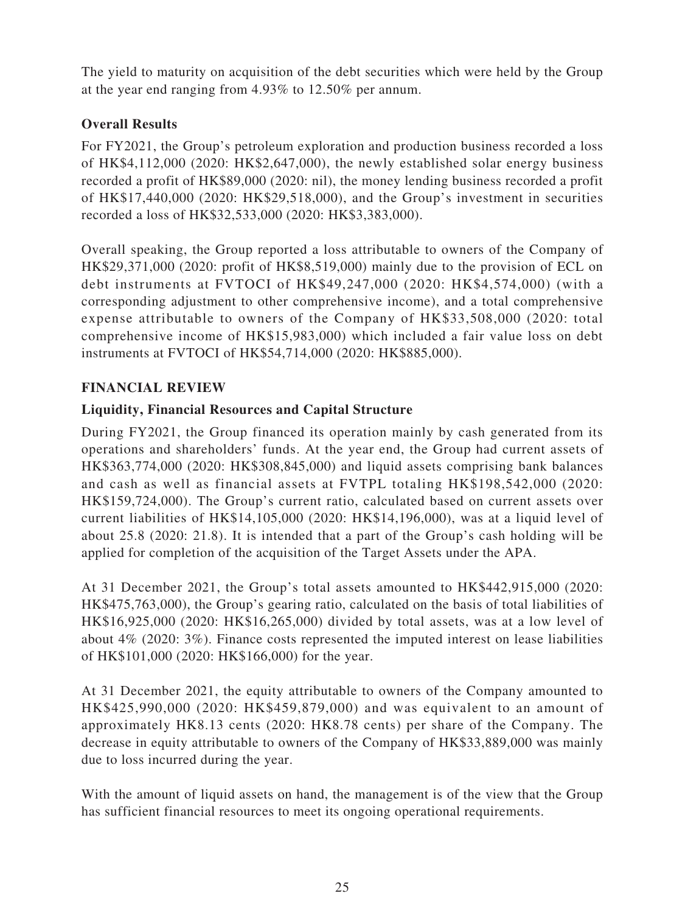The yield to maturity on acquisition of the debt securities which were held by the Group at the year end ranging from 4.93% to 12.50% per annum.

# **Overall Results**

For FY2021, the Group's petroleum exploration and production business recorded a loss of HK\$4,112,000 (2020: HK\$2,647,000), the newly established solar energy business recorded a profit of HK\$89,000 (2020: nil), the money lending business recorded a profit of HK\$17,440,000 (2020: HK\$29,518,000), and the Group's investment in securities recorded a loss of HK\$32,533,000 (2020: HK\$3,383,000).

Overall speaking, the Group reported a loss attributable to owners of the Company of HK\$29,371,000 (2020: profit of HK\$8,519,000) mainly due to the provision of ECL on debt instruments at FVTOCI of HK\$49,247,000 (2020: HK\$4,574,000) (with a corresponding adjustment to other comprehensive income), and a total comprehensive expense attributable to owners of the Company of HK\$33,508,000 (2020: total comprehensive income of HK\$15,983,000) which included a fair value loss on debt instruments at FVTOCI of HK\$54,714,000 (2020: HK\$885,000).

# **FINANCIAL REVIEW**

# **Liquidity, Financial Resources and Capital Structure**

During FY2021, the Group financed its operation mainly by cash generated from its operations and shareholders' funds. At the year end, the Group had current assets of HK\$363,774,000 (2020: HK\$308,845,000) and liquid assets comprising bank balances and cash as well as financial assets at FVTPL totaling HK\$198,542,000 (2020: HK\$159,724,000). The Group's current ratio, calculated based on current assets over current liabilities of HK\$14,105,000 (2020: HK\$14,196,000), was at a liquid level of about 25.8 (2020: 21.8). It is intended that a part of the Group's cash holding will be applied for completion of the acquisition of the Target Assets under the APA.

At 31 December 2021, the Group's total assets amounted to HK\$442,915,000 (2020: HK\$475,763,000), the Group's gearing ratio, calculated on the basis of total liabilities of HK\$16,925,000 (2020: HK\$16,265,000) divided by total assets, was at a low level of about 4% (2020: 3%). Finance costs represented the imputed interest on lease liabilities of HK\$101,000 (2020: HK\$166,000) for the year.

At 31 December 2021, the equity attributable to owners of the Company amounted to HK\$425,990,000 (2020: HK\$459,879,000) and was equivalent to an amount of approximately HK8.13 cents (2020: HK8.78 cents) per share of the Company. The decrease in equity attributable to owners of the Company of HK\$33,889,000 was mainly due to loss incurred during the year.

With the amount of liquid assets on hand, the management is of the view that the Group has sufficient financial resources to meet its ongoing operational requirements.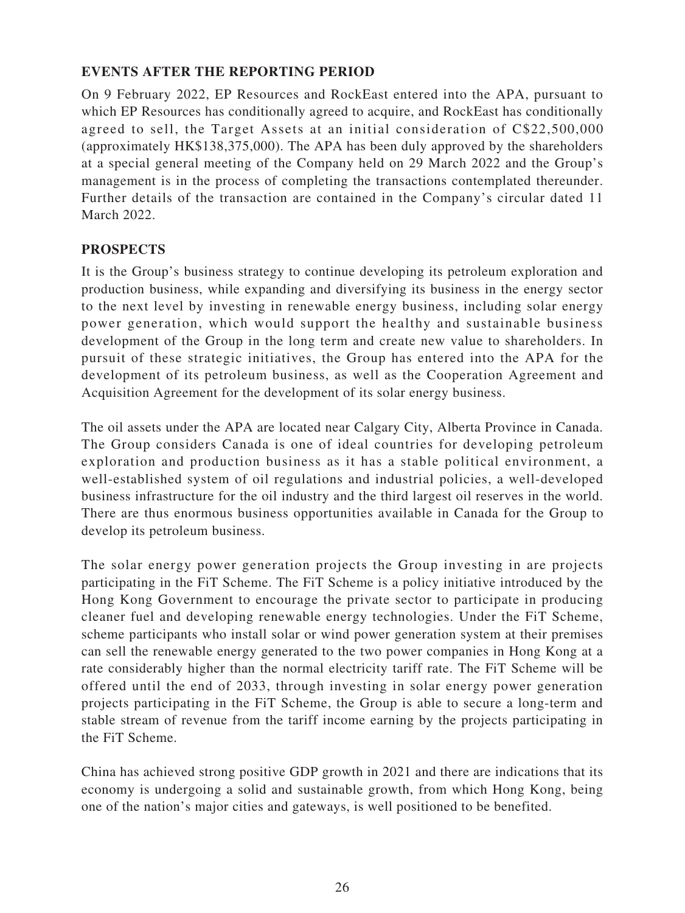# **EVENTS AFTER THE REPORTING PERIOD**

On 9 February 2022, EP Resources and RockEast entered into the APA, pursuant to which EP Resources has conditionally agreed to acquire, and RockEast has conditionally agreed to sell, the Target Assets at an initial consideration of C\$22,500,000 (approximately HK\$138,375,000). The APA has been duly approved by the shareholders at a special general meeting of the Company held on 29 March 2022 and the Group's management is in the process of completing the transactions contemplated thereunder. Further details of the transaction are contained in the Company's circular dated 11 March 2022.

## **PROSPECTS**

It is the Group's business strategy to continue developing its petroleum exploration and production business, while expanding and diversifying its business in the energy sector to the next level by investing in renewable energy business, including solar energy power generation, which would support the healthy and sustainable business development of the Group in the long term and create new value to shareholders. In pursuit of these strategic initiatives, the Group has entered into the APA for the development of its petroleum business, as well as the Cooperation Agreement and Acquisition Agreement for the development of its solar energy business.

The oil assets under the APA are located near Calgary City, Alberta Province in Canada. The Group considers Canada is one of ideal countries for developing petroleum exploration and production business as it has a stable political environment, a well-established system of oil regulations and industrial policies, a well-developed business infrastructure for the oil industry and the third largest oil reserves in the world. There are thus enormous business opportunities available in Canada for the Group to develop its petroleum business.

The solar energy power generation projects the Group investing in are projects participating in the FiT Scheme. The FiT Scheme is a policy initiative introduced by the Hong Kong Government to encourage the private sector to participate in producing cleaner fuel and developing renewable energy technologies. Under the FiT Scheme, scheme participants who install solar or wind power generation system at their premises can sell the renewable energy generated to the two power companies in Hong Kong at a rate considerably higher than the normal electricity tariff rate. The FiT Scheme will be offered until the end of 2033, through investing in solar energy power generation projects participating in the FiT Scheme, the Group is able to secure a long-term and stable stream of revenue from the tariff income earning by the projects participating in the FiT Scheme.

China has achieved strong positive GDP growth in 2021 and there are indications that its economy is undergoing a solid and sustainable growth, from which Hong Kong, being one of the nation's major cities and gateways, is well positioned to be benefited.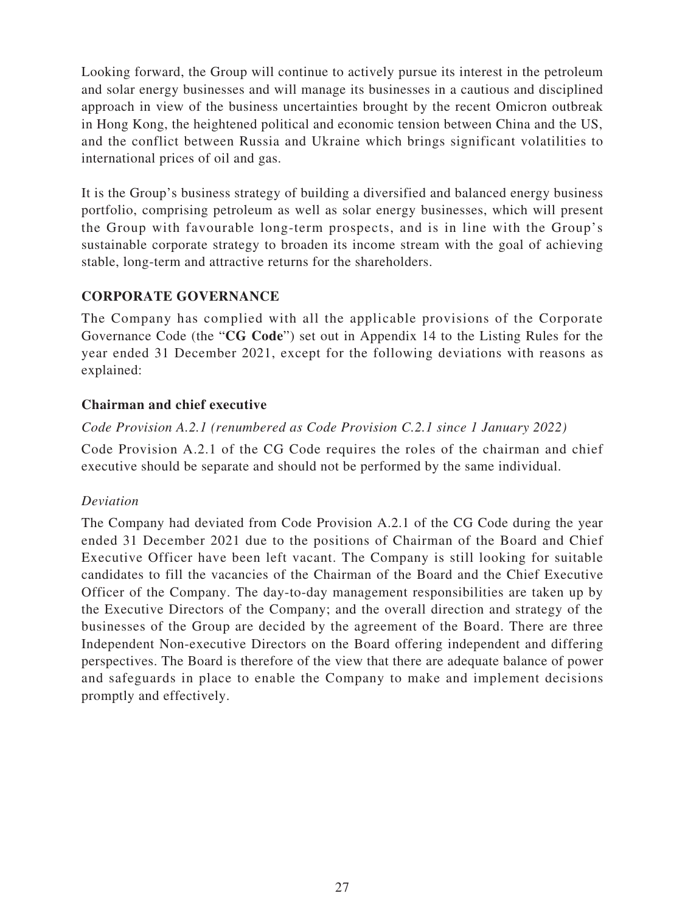Looking forward, the Group will continue to actively pursue its interest in the petroleum and solar energy businesses and will manage its businesses in a cautious and disciplined approach in view of the business uncertainties brought by the recent Omicron outbreak in Hong Kong, the heightened political and economic tension between China and the US, and the conflict between Russia and Ukraine which brings significant volatilities to international prices of oil and gas.

It is the Group's business strategy of building a diversified and balanced energy business portfolio, comprising petroleum as well as solar energy businesses, which will present the Group with favourable long-term prospects, and is in line with the Group's sustainable corporate strategy to broaden its income stream with the goal of achieving stable, long-term and attractive returns for the shareholders.

# **CORPORATE GOVERNANCE**

The Company has complied with all the applicable provisions of the Corporate Governance Code (the "**CG Code**") set out in Appendix 14 to the Listing Rules for the year ended 31 December 2021, except for the following deviations with reasons as explained:

## **Chairman and chief executive**

# *Code Provision A.2.1 (renumbered as Code Provision C.2.1 since 1 January 2022)*

Code Provision A.2.1 of the CG Code requires the roles of the chairman and chief executive should be separate and should not be performed by the same individual.

## *Deviation*

The Company had deviated from Code Provision A.2.1 of the CG Code during the year ended 31 December 2021 due to the positions of Chairman of the Board and Chief Executive Officer have been left vacant. The Company is still looking for suitable candidates to fill the vacancies of the Chairman of the Board and the Chief Executive Officer of the Company. The day-to-day management responsibilities are taken up by the Executive Directors of the Company; and the overall direction and strategy of the businesses of the Group are decided by the agreement of the Board. There are three Independent Non-executive Directors on the Board offering independent and differing perspectives. The Board is therefore of the view that there are adequate balance of power and safeguards in place to enable the Company to make and implement decisions promptly and effectively.